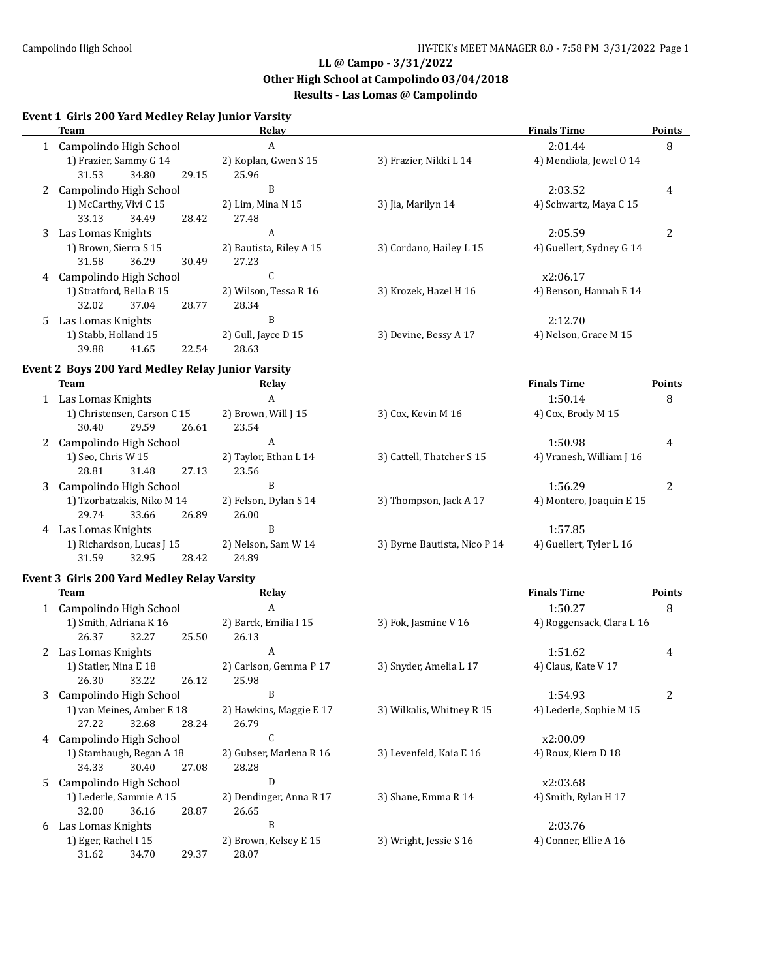**Other High School at Campolindo 03/04/2018**

## **Results - Las Lomas @ Campolindo**

# **Event 1 Girls 200 Yard Medley Relay Junior Varsity**

|   | <b>Team</b>                                              | <b>Relay</b>                  |                              | <b>Finals Time</b>        | Points        |
|---|----------------------------------------------------------|-------------------------------|------------------------------|---------------------------|---------------|
|   | 1 Campolindo High School                                 | $\boldsymbol{A}$              |                              | 2:01.44                   | 8             |
|   | 1) Frazier, Sammy G 14<br>31.53<br>34.80<br>29.15        | 2) Koplan, Gwen S 15<br>25.96 | 3) Frazier, Nikki L 14       | 4) Mendiola, Jewel 0 14   |               |
|   | 2 Campolindo High School                                 | B                             |                              | 2:03.52                   | 4             |
|   | 1) McCarthy, Vivi C 15                                   | 2) Lim, Mina N 15             | 3) Jia, Marilyn 14           | 4) Schwartz, Maya C 15    |               |
|   | 33.13<br>34.49<br>28.42                                  | 27.48                         |                              |                           |               |
|   | 3 Las Lomas Knights                                      | A                             |                              | 2:05.59                   | 2             |
|   | 1) Brown, Sierra S 15                                    | 2) Bautista, Riley A 15       | 3) Cordano, Hailey L 15      | 4) Guellert, Sydney G 14  |               |
|   | 31.58<br>36.29<br>30.49                                  | 27.23                         |                              |                           |               |
|   | 4 Campolindo High School                                 | C                             |                              | x2:06.17                  |               |
|   | 1) Stratford, Bella B 15                                 | 2) Wilson, Tessa R 16         | 3) Krozek, Hazel H 16        | 4) Benson, Hannah E 14    |               |
|   | 32.02<br>37.04<br>28.77                                  | 28.34                         |                              |                           |               |
|   | 5 Las Lomas Knights                                      | B                             |                              | 2:12.70                   |               |
|   | 1) Stabb, Holland 15                                     | 2) Gull, Jayce D 15           | 3) Devine, Bessy A 17        | 4) Nelson, Grace M 15     |               |
|   | 39.88<br>41.65<br>22.54                                  | 28.63                         |                              |                           |               |
|   | <b>Event 2 Boys 200 Yard Medley Relay Junior Varsity</b> |                               |                              |                           |               |
|   | <b>Team</b>                                              | Relay                         |                              | <b>Finals Time</b>        | <b>Points</b> |
|   | 1 Las Lomas Knights                                      | A                             |                              | 1:50.14                   | 8             |
|   | 1) Christensen, Carson C 15                              | 2) Brown, Will J 15           | 3) Cox, Kevin M 16           | 4) Cox, Brody M 15        |               |
|   | 30.40<br>29.59<br>26.61                                  | 23.54                         |                              |                           |               |
|   | 2 Campolindo High School                                 | A                             |                              | 1:50.98                   | 4             |
|   | 1) Seo, Chris W 15                                       | 2) Taylor, Ethan L 14         | 3) Cattell, Thatcher S 15    | 4) Vranesh, William J 16  |               |
|   | 28.81<br>31.48<br>27.13                                  | 23.56                         |                              |                           |               |
| 3 | Campolindo High School                                   | B                             |                              | 1:56.29                   | 2             |
|   | 1) Tzorbatzakis, Niko M 14                               | 2) Felson, Dylan S 14         | 3) Thompson, Jack A 17       | 4) Montero, Joaquin E 15  |               |
|   | 29.74<br>26.89<br>33.66                                  | 26.00                         |                              |                           |               |
|   | 4 Las Lomas Knights                                      | B                             |                              | 1:57.85                   |               |
|   | 1) Richardson, Lucas J 15                                | 2) Nelson, Sam W 14           | 3) Byrne Bautista, Nico P 14 | 4) Guellert, Tyler L 16   |               |
|   | 31.59<br>32.95<br>28.42                                  | 24.89                         |                              |                           |               |
|   | <b>Event 3 Girls 200 Yard Medley Relay Varsity</b>       |                               |                              |                           |               |
|   | <b>Team</b>                                              | <b>Relay</b>                  |                              | <b>Finals Time</b>        | <b>Points</b> |
|   | 1 Campolindo High School                                 | $\boldsymbol{A}$              |                              | 1:50.27                   | 8             |
|   | 1) Smith, Adriana K 16                                   | 2) Barck, Emilia I 15         | 3) Fok, Jasmine V 16         | 4) Roggensack, Clara L 16 |               |
|   | 26.37<br>32.27<br>25.50                                  | 26.13                         |                              |                           |               |
|   | 2 Las Lomas Knights                                      | A                             |                              | 1:51.62                   | 4             |
|   | 1) Statler, Nina E 18                                    | 2) Carlson, Gemma P 17        | 3) Snyder, Amelia L 17       | 4) Claus, Kate V 17       |               |
|   | 26.30 33.22<br>26.12                                     | 25.98                         |                              |                           |               |
| 3 | Campolindo High School                                   | B                             |                              | 1:54.93                   | 2             |
|   | 1) van Meines, Amber E 18                                | 2) Hawkins, Maggie E 17       | 3) Wilkalis, Whitney R 15    | 4) Lederle, Sophie M 15   |               |
|   | 27.22<br>32.68<br>28.24                                  | 26.79                         |                              |                           |               |
| 4 | Campolindo High School                                   | C                             |                              | x2:00.09                  |               |
|   | 1) Stambaugh, Regan A 18                                 | 2) Gubser, Marlena R 16       | 3) Levenfeld, Kaia E 16      | 4) Roux, Kiera D 18       |               |
|   | 34.33<br>30.40<br>27.08                                  | 28.28                         |                              |                           |               |
| 5 | Campolindo High School                                   | D                             |                              | x2:03.68                  |               |
|   | 1) Lederle, Sammie A 15                                  | 2) Dendinger, Anna R 17       | 3) Shane, Emma R 14          | 4) Smith, Rylan H 17      |               |
|   | 32.00<br>36.16<br>28.87                                  | 26.65                         |                              |                           |               |
| 6 | Las Lomas Knights                                        | B                             |                              | 2:03.76                   |               |
|   | 1) Eger, Rachel I 15                                     | 2) Brown, Kelsey E 15         | 3) Wright, Jessie S 16       | 4) Conner, Ellie A 16     |               |
|   | 34.70<br>31.62<br>29.37                                  | 28.07                         |                              |                           |               |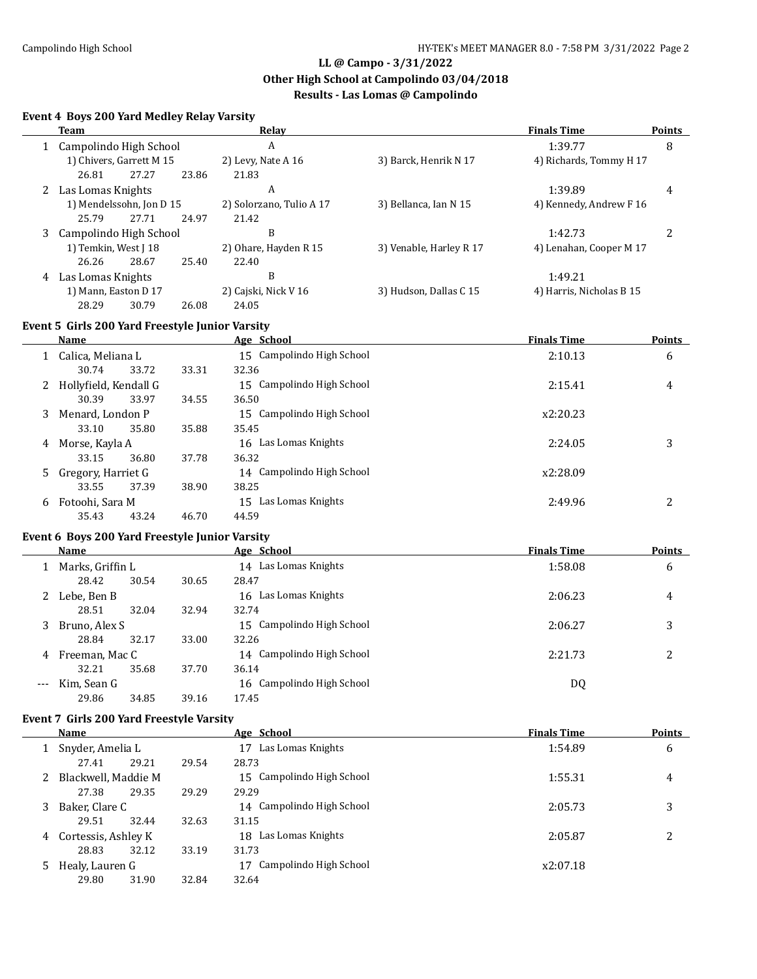**Other High School at Campolindo 03/04/2018**

## **Results - Las Lomas @ Campolindo**

### **Event 4 Boys 200 Yard Medley Relay Varsity**

| Team                        |                                                 |                          |       | Relay                    |                         | <b>Finals Time</b>       | <b>Points</b> |
|-----------------------------|-------------------------------------------------|--------------------------|-------|--------------------------|-------------------------|--------------------------|---------------|
| 1 Campolindo High School    |                                                 |                          |       | A                        |                         | 1:39.77                  | 8             |
|                             |                                                 | 1) Chivers, Garrett M 15 |       | 2) Levy, Nate A 16       | 3) Barck, Henrik N 17   | 4) Richards, Tommy H 17  |               |
|                             | 26.81                                           | 27.27                    | 23.86 | 21.83                    |                         |                          |               |
|                             | 2 Las Lomas Knights                             |                          |       | A                        |                         | 1:39.89                  | 4             |
|                             |                                                 | 1) Mendelssohn, Jon D 15 |       | 2) Solorzano, Tulio A 17 | 3) Bellanca, Ian N 15   | 4) Kennedy, Andrew F 16  |               |
|                             | 25.79                                           | 27.71                    | 24.97 | 21.42                    |                         |                          |               |
| Campolindo High School<br>3 |                                                 |                          |       | B                        |                         | 1:42.73                  | 2             |
|                             | 1) Temkin, West J 18                            |                          |       | 2) Ohare, Hayden R 15    | 3) Venable, Harley R 17 | 4) Lenahan, Cooper M 17  |               |
|                             | 26.26                                           | 28.67                    | 25.40 | 22.40                    |                         |                          |               |
| 4                           | Las Lomas Knights                               |                          |       | B                        |                         | 1:49.21                  |               |
|                             | 1) Mann, Easton D 17                            |                          |       | 2) Cajski, Nick V 16     | 3) Hudson, Dallas C 15  | 4) Harris, Nicholas B 15 |               |
|                             | 28.29                                           | 30.79                    | 26.08 | 24.05                    |                         |                          |               |
|                             | Event 5 Girls 200 Yard Freestyle Junior Varsity |                          |       |                          |                         |                          |               |
|                             | Name                                            |                          |       | Age School               |                         | <b>Finals Time</b>       | <b>Points</b> |

|    | name                  |       |       | $T_{\rm L}$ behoor        | .        | 1 UIILW |
|----|-----------------------|-------|-------|---------------------------|----------|---------|
|    | Calica, Meliana L     |       |       | 15 Campolindo High School | 2:10.13  | 6       |
|    | 30.74                 | 33.72 | 33.31 | 32.36                     |          |         |
| 2  | Hollyfield, Kendall G |       |       | 15 Campolindo High School | 2:15.41  | 4       |
|    | 30.39                 | 33.97 | 34.55 | 36.50                     |          |         |
| 3. | Menard, London P      |       |       | 15 Campolindo High School | x2:20.23 |         |
|    | 33.10                 | 35.80 | 35.88 | 35.45                     |          |         |
| 4  | Morse, Kayla A        |       |       | Las Lomas Knights<br>16   | 2:24.05  | 3       |
|    | 33.15                 | 36.80 | 37.78 | 36.32                     |          |         |
| 5. | Gregory, Harriet G    |       |       | 14 Campolindo High School | x2:28.09 |         |
|    | 33.55                 | 37.39 | 38.90 | 38.25                     |          |         |
| 6  | Fotoohi, Sara M       |       |       | Las Lomas Knights<br>15   | 2:49.96  | າ<br>∠  |
|    | 35.43                 | 43.24 | 46.70 | 44.59                     |          |         |

#### **Event 6 Boys 200 Yard Freestyle Junior Varsity**

L

|       | <b>Name</b>      |       |       | Age School                | <b>Finals Time</b> | <b>Points</b> |
|-------|------------------|-------|-------|---------------------------|--------------------|---------------|
|       | Marks, Griffin L |       |       | 14 Las Lomas Knights      | 1:58.08            | 6             |
|       | 28.42            | 30.54 | 30.65 | 28.47                     |                    |               |
|       | Lebe, Ben B      |       |       | Las Lomas Knights<br>16   | 2:06.23            | 4             |
|       | 28.51            | 32.04 | 32.94 | 32.74                     |                    |               |
| 3     | Bruno, Alex S    |       |       | 15 Campolindo High School | 2:06.27            | 3             |
|       | 28.84            | 32.17 | 33.00 | 32.26                     |                    |               |
| 4     | Freeman, Mac C   |       |       | 14 Campolindo High School | 2:21.73            | っ             |
|       | 32.21            | 35.68 | 37.70 | 36.14                     |                    |               |
| $---$ | Kim, Sean G      |       |       | 16 Campolindo High School | DQ                 |               |
|       | 29.86            | 34.85 | 39.16 | 17.45                     |                    |               |

#### **Event 7 Girls 200 Yard Freestyle Varsity**

|   | Name                  |       |       | Age School                   | <b>Finals Time</b> | <b>Points</b> |
|---|-----------------------|-------|-------|------------------------------|--------------------|---------------|
|   | Snyder, Amelia L      |       |       | Las Lomas Knights<br>17      | 1:54.89            | 6             |
|   | 27.41                 | 29.21 | 29.54 | 28.73                        |                    |               |
|   | 2 Blackwell, Maddie M |       |       | 15 Campolindo High School    | 1:55.31            | 4             |
|   | 27.38                 | 29.35 | 29.29 | 29.29                        |                    |               |
| 3 | Baker, Clare C        |       |       | 14 Campolindo High School    | 2:05.73            | 3             |
|   | 29.51                 | 32.44 | 32.63 | 31.15                        |                    |               |
| 4 | Cortessis, Ashley K   |       |       | 18 Las Lomas Knights         | 2:05.87            | 2             |
|   | 28.83                 | 32.12 | 33.19 | 31.73                        |                    |               |
| 5 | Healy, Lauren G       |       |       | Campolindo High School<br>17 | x2:07.18           |               |
|   | 29.80                 | 31.90 | 32.84 | 32.64                        |                    |               |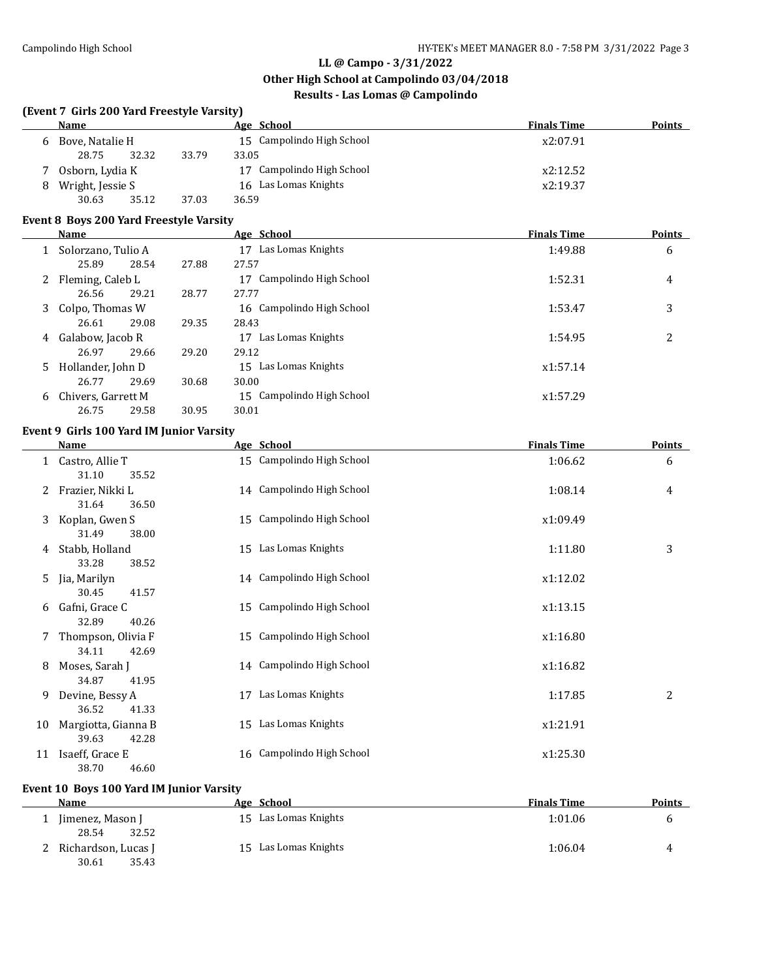$\overline{\phantom{a}}$ 

**(Event 7 Girls 200 Yard Freestyle Varsity)**

## **LL @ Campo - 3/31/2022**

**Name Age** School **Finals Time Points** 

## **Other High School at Campolindo 03/04/2018**

## **Results - Las Lomas @ Campolindo**

| 6 | Bove, Natalie H                          |       | 15 Campolindo High School | x2:07.91           |                |
|---|------------------------------------------|-------|---------------------------|--------------------|----------------|
|   | 28.75<br>32.32                           | 33.79 | 33.05                     |                    |                |
|   | 7 Osborn, Lydia K                        |       | 17 Campolindo High School | x2:12.52           |                |
| 8 | Wright, Jessie S                         |       | 16 Las Lomas Knights      | x2:19.37           |                |
|   | 30.63<br>35.12                           | 37.03 | 36.59                     |                    |                |
|   | Event 8 Boys 200 Yard Freestyle Varsity  |       |                           |                    |                |
|   | Name                                     |       | Age School                | <b>Finals Time</b> | <b>Points</b>  |
|   | 1 Solorzano, Tulio A                     |       | 17 Las Lomas Knights      | 1:49.88            | 6              |
|   | 25.89<br>28.54                           | 27.88 | 27.57                     |                    |                |
|   | 2 Fleming, Caleb L                       |       | 17 Campolindo High School | 1:52.31            | 4              |
|   | 26.56<br>29.21                           | 28.77 | 27.77                     |                    |                |
|   | 3 Colpo, Thomas W                        |       | 16 Campolindo High School | 1:53.47            | 3              |
|   | 26.61<br>29.08                           | 29.35 | 28.43                     |                    |                |
|   | 4 Galabow, Jacob R                       |       | 17 Las Lomas Knights      | 1:54.95            | 2              |
|   | 26.97<br>29.66                           | 29.20 | 29.12                     |                    |                |
|   | 5 Hollander, John D                      |       | 15 Las Lomas Knights      | x1:57.14           |                |
|   | 26.77<br>29.69                           | 30.68 | 30.00                     |                    |                |
| 6 | Chivers, Garrett M                       |       | 15 Campolindo High School | x1:57.29           |                |
|   | 26.75<br>29.58                           | 30.95 | 30.01                     |                    |                |
|   | Event 9 Girls 100 Yard IM Junior Varsity |       |                           |                    |                |
|   | <b>Name</b>                              |       | Age School                | <b>Finals Time</b> | <b>Points</b>  |
|   | 1 Castro, Allie T                        |       | 15 Campolindo High School | 1:06.62            | 6              |
|   | 31.10<br>35.52                           |       |                           |                    |                |
|   | 2 Frazier, Nikki L                       |       | 14 Campolindo High School | 1:08.14            | 4              |
|   | 31.64<br>36.50                           |       |                           |                    |                |
|   | 3 Koplan, Gwen S                         |       | 15 Campolindo High School | x1:09.49           |                |
|   | 31.49<br>38.00                           |       |                           |                    |                |
|   | 4 Stabb, Holland                         |       | 15 Las Lomas Knights      | 1:11.80            | 3              |
|   | 33.28<br>38.52                           |       |                           |                    |                |
|   | 5 Jia, Marilyn                           |       | 14 Campolindo High School | x1:12.02           |                |
|   | 30.45<br>41.57                           |       |                           |                    |                |
|   | 6 Gafni, Grace C                         |       | 15 Campolindo High School | x1:13.15           |                |
|   | 32.89<br>40.26<br>Thompson, Olivia F     |       | 15 Campolindo High School | x1:16.80           |                |
| 7 | 34.11<br>42.69                           |       |                           |                    |                |
|   | 8 Moses, Sarah J                         |       | 14 Campolindo High School | x1:16.82           |                |
|   | 34.87<br>41.95                           |       |                           |                    |                |
| 9 | Devine, Bessy A                          |       | 17 Las Lomas Knights      | 1:17.85            | $\overline{2}$ |
|   | 36.52<br>41.33                           |       |                           |                    |                |
|   | 10 Margiotta, Gianna B                   |       | 15 Las Lomas Knights      | x1:21.91           |                |
|   | 39.63<br>42.28                           |       |                           |                    |                |
|   | 11 Isaeff, Grace E                       |       | 16 Campolindo High School | x1:25.30           |                |
|   | 38.70<br>46.60                           |       |                           |                    |                |

## **Event 10 Boys 100 Yard IM Junior Varsity**

| Name                                    | Age School           | <b>Finals Time</b> | <b>Points</b> |
|-----------------------------------------|----------------------|--------------------|---------------|
| Jimenez, Mason J<br>32.52<br>28.54      | 15 Las Lomas Knights | 1:01.06            |               |
| 2 Richardson, Lucas J<br>35.43<br>30.61 | 15 Las Lomas Knights | 1:06.04            | ᅭ             |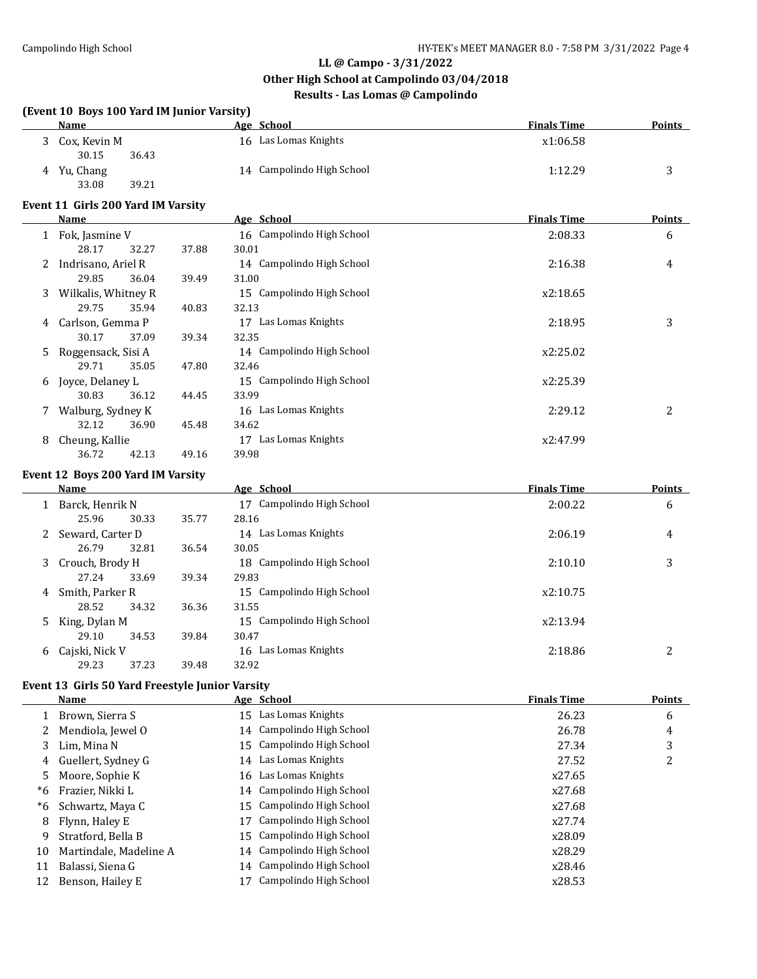**(Event 10 Boys 100 Yard IM Junior Varsity)**

#### **LL @ Campo - 3/31/2022**

#### **Other High School at Campolindo 03/04/2018**

## **Results - Las Lomas @ Campolindo**

|    | Name                                            |       | Age School                         | <b>Finals Time</b> | <b>Points</b>  |
|----|-------------------------------------------------|-------|------------------------------------|--------------------|----------------|
|    | 3 Cox, Kevin M                                  |       | 16 Las Lomas Knights               | x1:06.58           |                |
|    | 30.15<br>36.43                                  |       |                                    |                    |                |
| 4  | Yu, Chang                                       |       | 14 Campolindo High School          | 1:12.29            | 3              |
|    | 39.21<br>33.08                                  |       |                                    |                    |                |
|    | Event 11 Girls 200 Yard IM Varsity              |       |                                    |                    |                |
|    | <b>Name</b>                                     |       | Age School                         | <b>Finals Time</b> | <b>Points</b>  |
|    | 1 Fok, Jasmine V                                |       | 16 Campolindo High School          | 2:08.33            | 6              |
|    | 28.17<br>32.27                                  | 37.88 | 30.01                              |                    |                |
|    | 2 Indrisano, Ariel R<br>29.85<br>36.04          |       | 14 Campolindo High School<br>31.00 | 2:16.38            | 4              |
|    |                                                 | 39.49 | 15 Campolindo High School          |                    |                |
| 3  | Wilkalis, Whitney R<br>29.75<br>35.94           | 40.83 | 32.13                              | x2:18.65           |                |
|    | Carlson, Gemma P                                |       | 17 Las Lomas Knights               | 2:18.95            | 3              |
| 4  | 30.17<br>37.09                                  | 39.34 | 32.35                              |                    |                |
| 5  | Roggensack, Sisi A                              |       | 14 Campolindo High School          | x2:25.02           |                |
|    | 29.71<br>35.05                                  | 47.80 | 32.46                              |                    |                |
| 6  | Joyce, Delaney L                                |       | 15 Campolindo High School          | x2:25.39           |                |
|    | 30.83<br>36.12                                  | 44.45 | 33.99                              |                    |                |
| 7  | Walburg, Sydney K                               |       | 16 Las Lomas Knights               | 2:29.12            | $\overline{2}$ |
|    | 32.12<br>36.90                                  | 45.48 | 34.62                              |                    |                |
| 8  | Cheung, Kallie                                  |       | 17 Las Lomas Knights               | x2:47.99           |                |
|    | 36.72<br>42.13                                  | 49.16 | 39.98                              |                    |                |
|    | Event 12 Boys 200 Yard IM Varsity               |       |                                    |                    |                |
|    | Name                                            |       | Age School                         | <b>Finals Time</b> | <b>Points</b>  |
|    | 1 Barck, Henrik N                               |       | 17 Campolindo High School          | 2:00.22            | 6              |
|    | 25.96<br>30.33                                  | 35.77 | 28.16                              |                    |                |
| 2  | Seward, Carter D                                |       | 14 Las Lomas Knights               | 2:06.19            | 4              |
|    | 26.79<br>32.81                                  | 36.54 | 30.05                              |                    |                |
| 3  | Crouch, Brody H                                 |       | 18 Campolindo High School          | 2:10.10            | 3              |
|    | 27.24<br>33.69                                  | 39.34 | 29.83                              |                    |                |
| 4  | Smith, Parker R                                 |       | 15 Campolindo High School          | x2:10.75           |                |
|    | 28.52<br>34.32                                  | 36.36 | 31.55                              |                    |                |
| 5  | King, Dylan M                                   |       | 15 Campolindo High School          | x2:13.94           |                |
|    | 29.10<br>34.53                                  | 39.84 | 30.47                              |                    |                |
| 6  | Cajski, Nick V                                  |       | 16 Las Lomas Knights               | 2:18.86            | 2              |
|    | 29.23<br>37.23                                  | 39.48 | 32.92                              |                    |                |
|    | Event 13 Girls 50 Yard Freestyle Junior Varsity |       |                                    |                    |                |
|    | <b>Name</b>                                     |       | Age School                         | <b>Finals Time</b> | <b>Points</b>  |
| 1  | Brown, Sierra S                                 |       | 15 Las Lomas Knights               | 26.23              | 6              |
| 2  | Mendiola, Jewel O                               |       | Campolindo High School<br>14       | 26.78              | 4              |
| 3  | Lim, Mina N                                     |       | Campolindo High School<br>15       | 27.34              | 3              |
| 4  | Guellert, Sydney G                              |       | Las Lomas Knights<br>14            | 27.52              | 2              |
| 5  | Moore, Sophie K                                 |       | Las Lomas Knights<br>16            | x27.65             |                |
| *6 | Frazier, Nikki L                                |       | Campolindo High School<br>14       | x27.68             |                |
| *6 | Schwartz, Maya C                                |       | Campolindo High School<br>15       | x27.68             |                |
| 8  | Flynn, Haley E                                  |       | Campolindo High School<br>17       | x27.74             |                |
| 9  | Stratford, Bella B                              |       | Campolindo High School<br>15       | x28.09             |                |
| 10 | Martindale, Madeline A                          |       | 14 Campolindo High School          | x28.29             |                |

11 Balassi, Siena G 14 Campolindo High School x28.46 12 Benson, Hailey E 17 Campolindo High School x28.53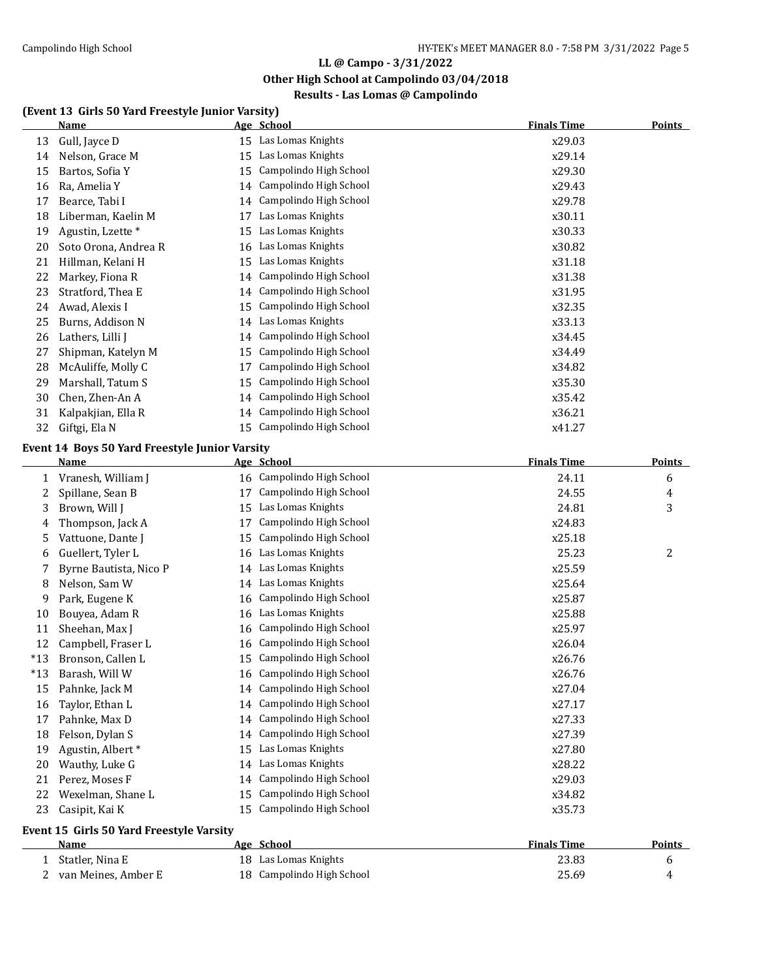**Other High School at Campolindo 03/04/2018**

## **Results - Las Lomas @ Campolindo**

#### **(Event 13 Girls 50 Yard Freestyle Junior Varsity)**

|       | <b>Name</b>                                    |    | Age School                | <b>Finals Time</b> | <b>Points</b> |
|-------|------------------------------------------------|----|---------------------------|--------------------|---------------|
| 13    | Gull, Jayce D                                  | 15 | Las Lomas Knights         | x29.03             |               |
| 14    | Nelson, Grace M                                | 15 | Las Lomas Knights         | x29.14             |               |
| 15    | Bartos, Sofia Y                                | 15 | Campolindo High School    | x29.30             |               |
| 16    | Ra, Amelia Y                                   | 14 | Campolindo High School    | x29.43             |               |
| 17    | Bearce, Tabi I                                 | 14 | Campolindo High School    | x29.78             |               |
| 18    | Liberman, Kaelin M                             | 17 | Las Lomas Knights         | x30.11             |               |
| 19    | Agustin, Lzette*                               | 15 | Las Lomas Knights         | x30.33             |               |
| 20    | Soto Orona, Andrea R                           | 16 | Las Lomas Knights         | x30.82             |               |
| 21    | Hillman, Kelani H                              | 15 | Las Lomas Knights         | x31.18             |               |
| 22    | Markey, Fiona R                                | 14 | Campolindo High School    | x31.38             |               |
| 23    | Stratford, Thea E                              | 14 | Campolindo High School    | x31.95             |               |
| 24    | Awad, Alexis I                                 | 15 | Campolindo High School    | x32.35             |               |
| 25    | Burns, Addison N                               | 14 | Las Lomas Knights         | x33.13             |               |
| 26    | Lathers, Lilli J                               | 14 | Campolindo High School    | x34.45             |               |
| 27    | Shipman, Katelyn M                             | 15 | Campolindo High School    | x34.49             |               |
| 28    | McAuliffe, Molly C                             | 17 | Campolindo High School    | x34.82             |               |
| 29    | Marshall, Tatum S                              | 15 | Campolindo High School    | x35.30             |               |
| 30    | Chen, Zhen-An A                                | 14 | Campolindo High School    | x35.42             |               |
| 31    | Kalpakjian, Ella R                             | 14 | Campolindo High School    | x36.21             |               |
| 32    | Giftgi, Ela N                                  | 15 | Campolindo High School    | x41.27             |               |
|       | Event 14 Boys 50 Yard Freestyle Junior Varsity |    |                           |                    |               |
|       | <b>Name</b>                                    |    | Age School                | <b>Finals Time</b> | <b>Points</b> |
| 1     | Vranesh, William J                             |    | 16 Campolindo High School | 24.11              | 6             |
| 2     | Spillane, Sean B                               | 17 | Campolindo High School    | 24.55              | 4             |
| 3     | Brown, Will J                                  | 15 | Las Lomas Knights         | 24.81              | 3             |
| 4     | Thompson, Jack A                               | 17 | Campolindo High School    | x24.83             |               |
| 5     | Vattuone, Dante J                              | 15 | Campolindo High School    | x25.18             |               |
| 6     | Guellert, Tyler L                              | 16 | Las Lomas Knights         | 25.23              | 2             |
| 7     | Byrne Bautista, Nico P                         | 14 | Las Lomas Knights         | x25.59             |               |
| 8     | Nelson, Sam W                                  | 14 | Las Lomas Knights         | x25.64             |               |
| 9     | Park, Eugene K                                 | 16 | Campolindo High School    | x25.87             |               |
| 10    | Bouyea, Adam R                                 | 16 | Las Lomas Knights         | x25.88             |               |
| 11    | Sheehan, Max J                                 | 16 | Campolindo High School    | x25.97             |               |
| 12    | Campbell, Fraser L                             | 16 | Campolindo High School    | x26.04             |               |
| $*13$ | Bronson, Callen L                              |    | 15 Campolindo High School | x26.76             |               |
| $*13$ | Barash, Will W                                 |    | 16 Campolindo High School | x26.76             |               |
| 15    | Pahnke, Jack M                                 |    | 14 Campolindo High School | x27.04             |               |
| 16    | Taylor, Ethan L                                | 14 | Campolindo High School    | x27.17             |               |
| 17    | Pahnke, Max D                                  | 14 | Campolindo High School    | x27.33             |               |
| 18    | Felson, Dylan S                                | 14 | Campolindo High School    | x27.39             |               |
| 19    | Agustin, Albert*                               | 15 | Las Lomas Knights         | x27.80             |               |
| 20    | Wauthy, Luke G                                 | 14 | Las Lomas Knights         | x28.22             |               |
| 21    | Perez, Moses F                                 | 14 | Campolindo High School    | x29.03             |               |
| 22    | Wexelman, Shane L                              | 15 | Campolindo High School    | x34.82             |               |
| 23    | Casipit, Kai K                                 | 15 | Campolindo High School    | x35.73             |               |
|       | Event 15 Girls 50 Yard Freestyle Varsity       |    |                           |                    |               |
|       | Name                                           |    | Age School                | <b>Finals Time</b> | <b>Points</b> |
| 1     | Statler, Nina E                                |    | 18 Las Lomas Knights      | 23.83              |               |
| 2     | van Meines, Amber E                            |    | 18 Campolindo High School | 25.69              | 6<br>4        |
|       |                                                |    |                           |                    |               |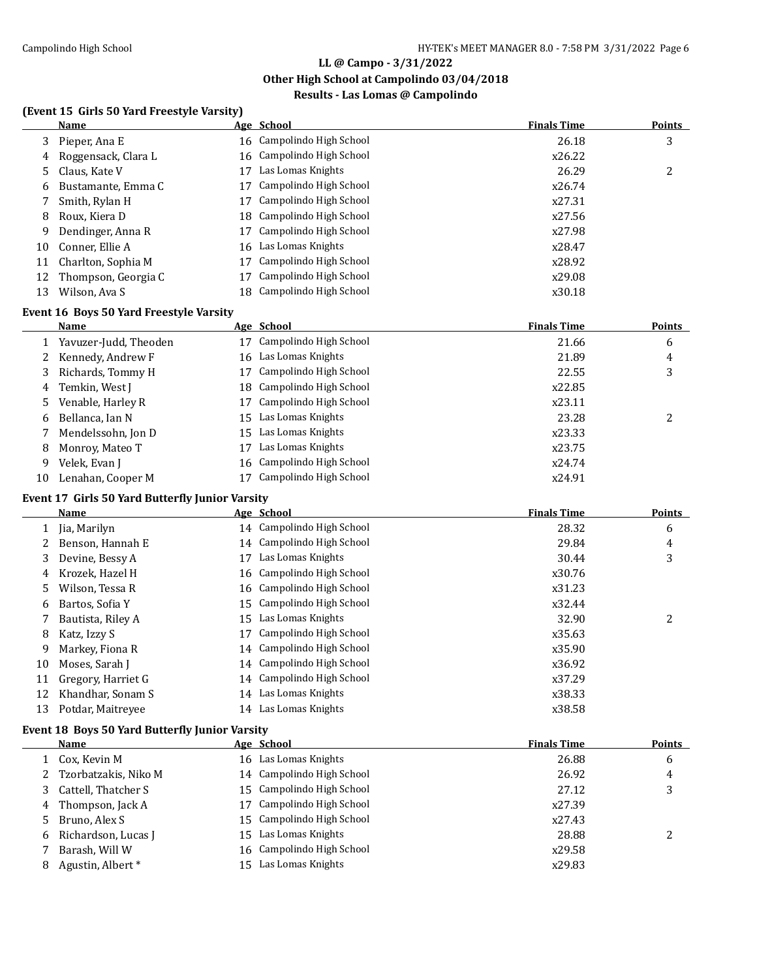**Other High School at Campolindo 03/04/2018**

## **Results - Las Lomas @ Campolindo**

### **(Event 15 Girls 50 Yard Freestyle Varsity)**

|    | Name                |    | Age School                | <b>Finals Time</b> | Points |
|----|---------------------|----|---------------------------|--------------------|--------|
| 3  | Pieper, Ana E       |    | 16 Campolindo High School | 26.18              | 3      |
| 4  | Roggensack, Clara L |    | 16 Campolindo High School | x26.22             |        |
|    | 5 Claus, Kate V     | 17 | Las Lomas Knights         | 26.29              | 2      |
| 6  | Bustamante, Emma C  | 17 | Campolindo High School    | x26.74             |        |
|    | Smith, Rylan H      | 17 | Campolindo High School    | x27.31             |        |
| 8  | Roux, Kiera D       |    | 18 Campolindo High School | x27.56             |        |
| 9  | Dendinger, Anna R   | 17 | Campolindo High School    | x27.98             |        |
| 10 | Conner, Ellie A     |    | 16 Las Lomas Knights      | x28.47             |        |
| 11 | Charlton, Sophia M  | 17 | Campolindo High School    | x28.92             |        |
| 12 | Thompson, Georgia C |    | Campolindo High School    | x29.08             |        |
| 13 | Wilson, Ava S       |    | 18 Campolindo High School | x30.18             |        |

#### **Event 16 Boys 50 Yard Freestyle Varsity**

|    | Name                  |    | Age School                | <b>Finals Time</b> | Points  |
|----|-----------------------|----|---------------------------|--------------------|---------|
|    | Yavuzer-Judd, Theoden |    | 17 Campolindo High School | 21.66              | 6       |
| 2  | Kennedy, Andrew F     |    | 16 Las Lomas Knights      | 21.89              | 4       |
| 3  | Richards, Tommy H     |    | Campolindo High School    | 22.55              | 3       |
| 4  | Temkin, West J        |    | 18 Campolindo High School | x22.85             |         |
| 5. | Venable, Harley R     |    | 17 Campolindo High School | x23.11             |         |
| 6  | Bellanca. Ian N       |    | 15 Las Lomas Knights      | 23.28              | ົາ<br>∠ |
|    | Mendelssohn, Jon D    |    | 15 Las Lomas Knights      | x23.33             |         |
| 8  | Monroy, Mateo T       | 17 | Las Lomas Knights         | x23.75             |         |
| 9  | Velek, Evan J         |    | 16 Campolindo High School | x24.74             |         |
| 10 | Lenahan, Cooper M     |    | Campolindo High School    | x24.91             |         |

### **Event 17 Girls 50 Yard Butterfly Junior Varsity**

|    | Name                                                  |    | Age School                | <b>Finals Time</b> | <b>Points</b> |
|----|-------------------------------------------------------|----|---------------------------|--------------------|---------------|
|    | Jia, Marilyn                                          |    | 14 Campolindo High School | 28.32              | 6             |
|    | Benson. Hannah E                                      |    | 14 Campolindo High School | 29.84              | 4             |
| 3  | Devine, Bessy A                                       | 17 | Las Lomas Knights         | 30.44              | 3             |
| 4  | Krozek, Hazel H                                       |    | 16 Campolindo High School | x30.76             |               |
| 5. | Wilson, Tessa R                                       |    | 16 Campolindo High School | x31.23             |               |
| 6  | Bartos, Sofia Y                                       | 15 | Campolindo High School    | x32.44             |               |
|    | Bautista, Riley A                                     | 15 | Las Lomas Knights         | 32.90              | 2             |
| 8  | Katz, Izzy S                                          | 17 | Campolindo High School    | x35.63             |               |
| 9  | Markey, Fiona R                                       |    | 14 Campolindo High School | x35.90             |               |
| 10 | Moses, Sarah J                                        |    | 14 Campolindo High School | x36.92             |               |
| 11 | Gregory, Harriet G                                    |    | 14 Campolindo High School | x37.29             |               |
| 12 | Khandhar, Sonam S                                     |    | 14 Las Lomas Knights      | x38.33             |               |
| 13 | Potdar, Maitreyee                                     |    | 14 Las Lomas Knights      | x38.58             |               |
|    | <b>Event 18 Boys 50 Yard Butterfly Junior Varsity</b> |    |                           |                    |               |
|    | Name                                                  |    | Age School                | <b>Finals Time</b> | <b>Points</b> |

| Name                         | Age School                | <b>Finals Time</b> | <b>Points</b> |
|------------------------------|---------------------------|--------------------|---------------|
| 1 Cox, Kevin M               | 16 Las Lomas Knights      | 26.88              | 6             |
| 2 Tzorbatzakis, Niko M       | 14 Campolindo High School | 26.92              | 4             |
| 3 Cattell, Thatcher S        | 15 Campolindo High School | 27.12              | 3             |
| 4 Thompson, Jack A           | 17 Campolindo High School | x27.39             |               |
| 5 Bruno, Alex S              | 15 Campolindo High School | x27.43             |               |
| 6 Richardson, Lucas J        | 15 Las Lomas Knights      | 28.88              |               |
| Barash, Will W               | 16 Campolindo High School | x29.58             |               |
| Agustin, Albert <sup>*</sup> | 15 Las Lomas Knights      | x29.83             |               |
|                              |                           |                    |               |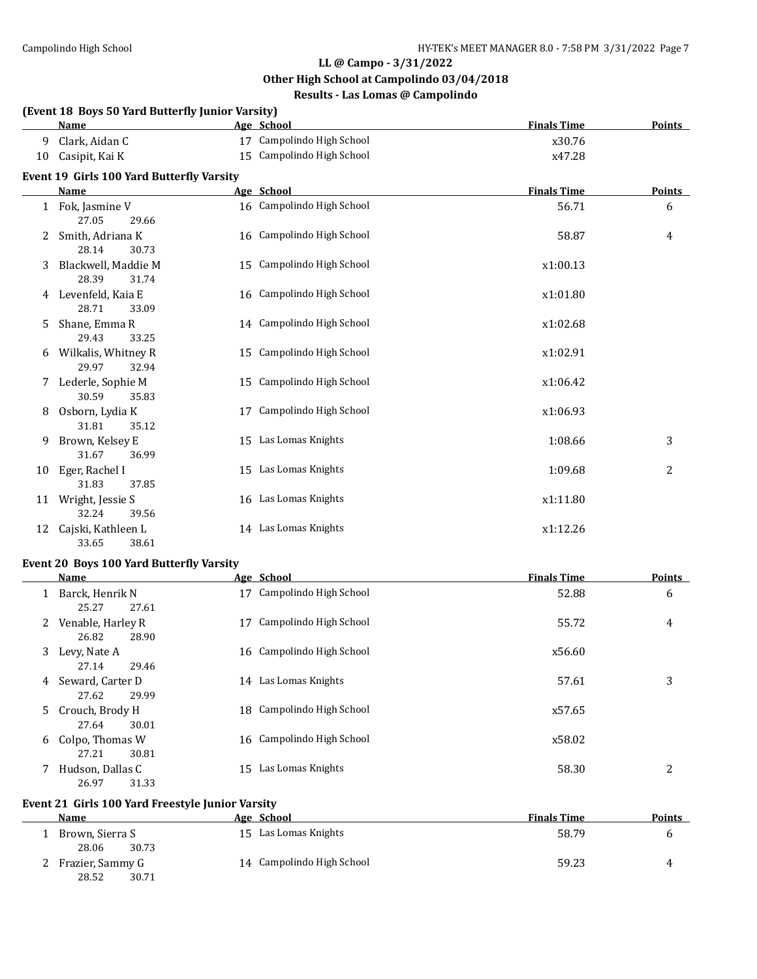**Other High School at Campolindo 03/04/2018**

## **Results - Las Lomas @ Campolindo**

|              | (Event 18 Boys 50 Yard Butterfly Junior Varsity)<br>Age School<br><b>Finals Time</b><br><b>Points</b><br><b>Name</b> |    |                           |                    |                |  |  |  |  |
|--------------|----------------------------------------------------------------------------------------------------------------------|----|---------------------------|--------------------|----------------|--|--|--|--|
|              |                                                                                                                      |    |                           |                    |                |  |  |  |  |
| 9            | Clark, Aidan C                                                                                                       |    | 17 Campolindo High School | x30.76             |                |  |  |  |  |
| 10           | Casipit, Kai K                                                                                                       |    | 15 Campolindo High School | x47.28             |                |  |  |  |  |
|              | <b>Event 19 Girls 100 Yard Butterfly Varsity</b>                                                                     |    |                           |                    |                |  |  |  |  |
|              | <b>Name</b>                                                                                                          |    | Age School                | <b>Finals Time</b> | <b>Points</b>  |  |  |  |  |
| $\mathbf{1}$ | Fok, Jasmine V<br>27.05<br>29.66                                                                                     |    | 16 Campolindo High School | 56.71              | 6              |  |  |  |  |
| 2            | Smith, Adriana K<br>28.14<br>30.73                                                                                   |    | 16 Campolindo High School | 58.87              | 4              |  |  |  |  |
| 3            | Blackwell, Maddie M<br>28.39<br>31.74                                                                                |    | 15 Campolindo High School | x1:00.13           |                |  |  |  |  |
| 4            | Levenfeld, Kaia E<br>28.71<br>33.09                                                                                  |    | 16 Campolindo High School | x1:01.80           |                |  |  |  |  |
| 5.           | Shane, Emma R<br>29.43<br>33.25                                                                                      |    | 14 Campolindo High School | x1:02.68           |                |  |  |  |  |
| 6            | Wilkalis, Whitney R<br>29.97<br>32.94                                                                                |    | 15 Campolindo High School | x1:02.91           |                |  |  |  |  |
| 7            | Lederle, Sophie M<br>30.59<br>35.83                                                                                  |    | 15 Campolindo High School | x1:06.42           |                |  |  |  |  |
| 8            | Osborn, Lydia K<br>31.81<br>35.12                                                                                    | 17 | Campolindo High School    | x1:06.93           |                |  |  |  |  |
| 9            | Brown, Kelsey E<br>31.67<br>36.99                                                                                    |    | 15 Las Lomas Knights      | 1:08.66            | 3              |  |  |  |  |
| 10           | Eger, Rachel I<br>31.83<br>37.85                                                                                     |    | 15 Las Lomas Knights      | 1:09.68            | $\overline{2}$ |  |  |  |  |
| 11           | Wright, Jessie S<br>32.24<br>39.56                                                                                   |    | 16 Las Lomas Knights      | x1:11.80           |                |  |  |  |  |
| 12           | Cajski, Kathleen L<br>33.65<br>38.61                                                                                 |    | 14 Las Lomas Knights      | x1:12.26           |                |  |  |  |  |

#### **Event 20 Boys 100 Yard Butterfly Varsity**

|    | Name              |    | Age School                | <b>Finals Time</b> | <b>Points</b> |
|----|-------------------|----|---------------------------|--------------------|---------------|
|    | Barck, Henrik N   | 17 | Campolindo High School    | 52.88              | 6             |
|    | 25.27<br>27.61    |    |                           |                    |               |
| 2  | Venable, Harley R | 17 | Campolindo High School    | 55.72              | 4             |
|    | 26.82<br>28.90    |    |                           |                    |               |
| 3  | Levy, Nate A      |    | 16 Campolindo High School | x56.60             |               |
|    | 27.14<br>29.46    |    |                           |                    |               |
| 4  | Seward, Carter D  |    | 14 Las Lomas Knights      | 57.61              | 3             |
|    | 27.62<br>29.99    |    |                           |                    |               |
| 5. | Crouch, Brody H   |    | 18 Campolindo High School | x57.65             |               |
|    | 30.01<br>27.64    |    |                           |                    |               |
| 6  | Colpo, Thomas W   |    | 16 Campolindo High School | x58.02             |               |
|    | 27.21<br>30.81    |    |                           |                    |               |
|    | Hudson, Dallas C  | 15 | Las Lomas Knights         | 58.30              | 2             |
|    | 26.97<br>31.33    |    |                           |                    |               |

### **Event 21 Girls 100 Yard Freestyle Junior Varsity**

| Name             | Age School                | <b>Finals Time</b> | <b>Points</b> |
|------------------|---------------------------|--------------------|---------------|
| Brown, Sierra S  | 15 Las Lomas Knights      | 58.79              |               |
| 30.73<br>28.06   |                           |                    |               |
| Frazier, Sammy G | 14 Campolindo High School | 59.23              | 4             |
| 28.52<br>30.71   |                           |                    |               |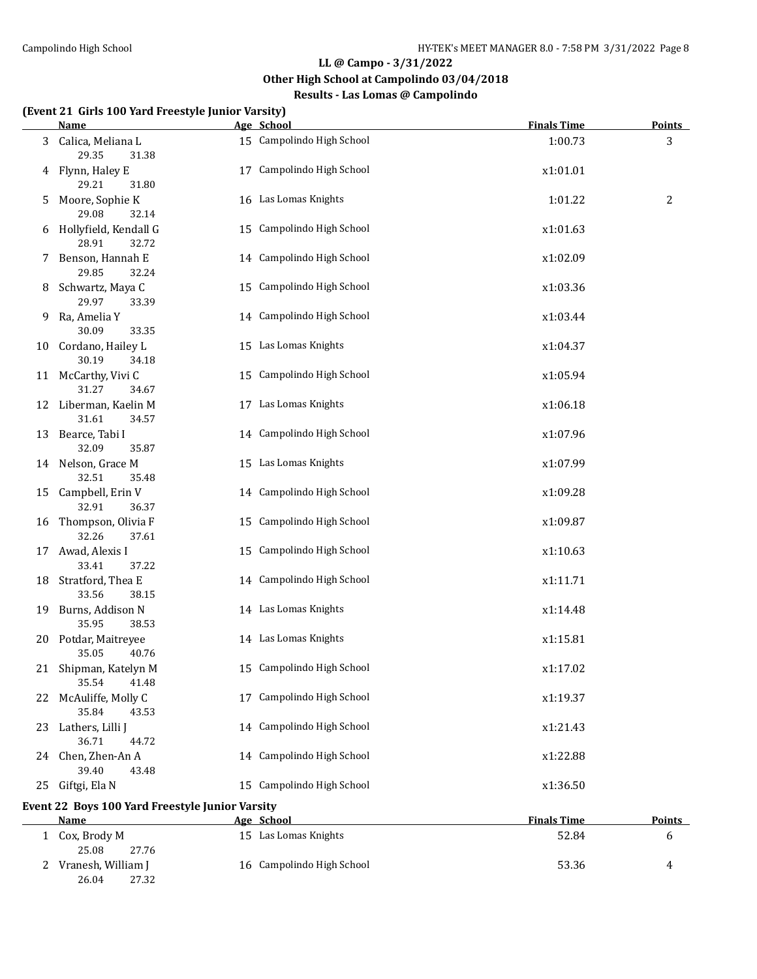**Other High School at Campolindo 03/04/2018**

## **Results - Las Lomas @ Campolindo**

#### **(Event 21 Girls 100 Yard Freestyle Junior Varsity)**

26.04 27.32

|    | <u>Name</u>                                                    | Age School                | <b>Finals Time</b> | <b>Points</b> |
|----|----------------------------------------------------------------|---------------------------|--------------------|---------------|
|    | 3 Calica, Meliana L<br>29.35<br>31.38                          | 15 Campolindo High School | 1:00.73            | 3             |
| 4  | Flynn, Haley E<br>29.21<br>31.80                               | 17 Campolindo High School | x1:01.01           |               |
| 5  | Moore, Sophie K<br>29.08<br>32.14                              | 16 Las Lomas Knights      | 1:01.22            | 2             |
| 6  | Hollyfield, Kendall G<br>28.91<br>32.72                        | 15 Campolindo High School | x1:01.63           |               |
| 7  | Benson, Hannah E<br>29.85<br>32.24                             | 14 Campolindo High School | x1:02.09           |               |
| 8  | Schwartz, Maya C<br>29.97<br>33.39                             | 15 Campolindo High School | x1:03.36           |               |
| 9  | Ra, Amelia Y<br>30.09<br>33.35                                 | 14 Campolindo High School | x1:03.44           |               |
|    | 10 Cordano, Hailey L<br>30.19<br>34.18                         | 15 Las Lomas Knights      | x1:04.37           |               |
|    | 11 McCarthy, Vivi C<br>31.27<br>34.67                          | 15 Campolindo High School | x1:05.94           |               |
|    | 12 Liberman, Kaelin M<br>31.61<br>34.57                        | 17 Las Lomas Knights      | x1:06.18           |               |
|    | 13 Bearce, Tabi I<br>32.09<br>35.87                            | 14 Campolindo High School | x1:07.96           |               |
|    | 14 Nelson, Grace M<br>32.51<br>35.48                           | 15 Las Lomas Knights      | x1:07.99           |               |
|    | 15 Campbell, Erin V<br>32.91<br>36.37                          | 14 Campolindo High School | x1:09.28           |               |
|    | 16 Thompson, Olivia F<br>32.26<br>37.61                        | 15 Campolindo High School | x1:09.87           |               |
|    | 17 Awad, Alexis I<br>33.41<br>37.22                            | 15 Campolindo High School | x1:10.63           |               |
|    | 18 Stratford, Thea E<br>33.56<br>38.15                         | 14 Campolindo High School | x1:11.71           |               |
| 19 | Burns, Addison N<br>35.95<br>38.53                             | 14 Las Lomas Knights      | x1:14.48           |               |
|    | 20 Potdar, Maitreyee<br>35.05<br>40.76                         | 14 Las Lomas Knights      | x1:15.81           |               |
|    | 21 Shipman, Katelyn M<br>35.54<br>41.48                        | 15 Campolindo High School | x1:17.02           |               |
|    | 22 McAuliffe, Molly C<br>35.84<br>43.53                        | 17 Campolindo High School | x1:19.37           |               |
| 23 | Lathers, Lilli J<br>36.71<br>44.72                             | 14 Campolindo High School | x1:21.43           |               |
|    | 24 Chen, Zhen-An A<br>39.40<br>43.48                           | 14 Campolindo High School | x1:22.88           |               |
| 25 | Giftgi, Ela N                                                  | 15 Campolindo High School | x1:36.50           |               |
|    | Event 22 Boys 100 Yard Freestyle Junior Varsity<br><b>Name</b> | Age School                | <b>Finals Time</b> | <b>Points</b> |
|    | 1 Cox, Brody M<br>25.08<br>27.76                               | 15 Las Lomas Knights      | 52.84              | 6             |

2 Vranesh, William J 16 Campolindo High School 53.36 4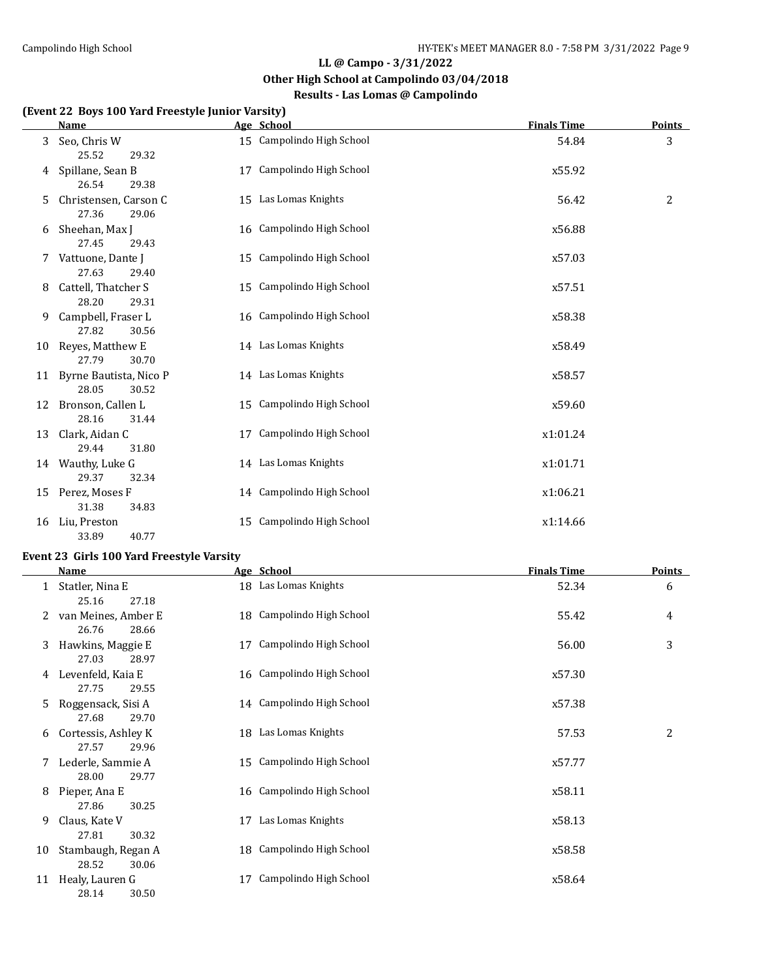## **Other High School at Campolindo 03/04/2018**

## **Results - Las Lomas @ Campolindo**

#### **(Event 22 Boys 100 Yard Freestyle Junior Varsity)**

|    | <u>Name</u>                              | Age School                | <b>Finals Time</b> | <b>Points</b> |
|----|------------------------------------------|---------------------------|--------------------|---------------|
| 3  | Seo, Chris W<br>25.52<br>29.32           | 15 Campolindo High School | 54.84              | 3             |
| 4  | Spillane, Sean B<br>26.54<br>29.38       | 17 Campolindo High School | x55.92             |               |
| 5  | Christensen, Carson C<br>27.36<br>29.06  | 15 Las Lomas Knights      | 56.42              | 2             |
| 6  | Sheehan, Max J<br>27.45<br>29.43         | 16 Campolindo High School | x56.88             |               |
| 7  | Vattuone, Dante J<br>27.63<br>29.40      | 15 Campolindo High School | x57.03             |               |
| 8  | Cattell, Thatcher S<br>28.20<br>29.31    | 15 Campolindo High School | x57.51             |               |
| 9  | Campbell, Fraser L<br>27.82<br>30.56     | 16 Campolindo High School | x58.38             |               |
| 10 | Reyes, Matthew E<br>27.79<br>30.70       | 14 Las Lomas Knights      | x58.49             |               |
| 11 | Byrne Bautista, Nico P<br>28.05<br>30.52 | 14 Las Lomas Knights      | x58.57             |               |
| 12 | Bronson, Callen L<br>28.16<br>31.44      | 15 Campolindo High School | x59.60             |               |
| 13 | Clark, Aidan C<br>29.44<br>31.80         | 17 Campolindo High School | x1:01.24           |               |
|    | 14 Wauthy, Luke G<br>29.37<br>32.34      | 14 Las Lomas Knights      | x1:01.71           |               |
| 15 | Perez, Moses F<br>31.38<br>34.83         | 14 Campolindo High School | x1:06.21           |               |
| 16 | Liu, Preston<br>33.89<br>40.77           | 15 Campolindo High School | x1:14.66           |               |

### **Event 23 Girls 100 Yard Freestyle Varsity**

|    | Name                |    | Age School                | <b>Finals Time</b> | <b>Points</b> |
|----|---------------------|----|---------------------------|--------------------|---------------|
|    | Statler, Nina E     |    | 18 Las Lomas Knights      | 52.34              | 6             |
|    | 25.16<br>27.18      |    |                           |                    |               |
| 2  | van Meines, Amber E |    | 18 Campolindo High School | 55.42              | 4             |
|    | 26.76<br>28.66      |    |                           |                    |               |
| 3  | Hawkins, Maggie E   | 17 | Campolindo High School    | 56.00              | 3             |
|    | 27.03<br>28.97      |    |                           |                    |               |
| 4  | Levenfeld, Kaia E   |    | 16 Campolindo High School | x57.30             |               |
|    | 27.75<br>29.55      |    |                           |                    |               |
| 5  | Roggensack, Sisi A  |    | 14 Campolindo High School | x57.38             |               |
|    | 27.68<br>29.70      |    |                           |                    |               |
| 6  | Cortessis, Ashley K |    | 18 Las Lomas Knights      | 57.53              | 2             |
|    | 27.57<br>29.96      |    |                           |                    |               |
| 7  | Lederle, Sammie A   |    | 15 Campolindo High School | x57.77             |               |
|    | 28.00<br>29.77      |    |                           |                    |               |
| 8  | Pieper, Ana E       |    | 16 Campolindo High School | x58.11             |               |
|    | 27.86<br>30.25      |    |                           |                    |               |
| 9  | Claus, Kate V       | 17 | Las Lomas Knights         | x58.13             |               |
|    | 27.81<br>30.32      |    |                           |                    |               |
| 10 | Stambaugh, Regan A  |    | 18 Campolindo High School | x58.58             |               |
|    | 28.52<br>30.06      |    |                           |                    |               |
| 11 | Healy, Lauren G     | 17 | Campolindo High School    | x58.64             |               |
|    | 28.14<br>30.50      |    |                           |                    |               |
|    |                     |    |                           |                    |               |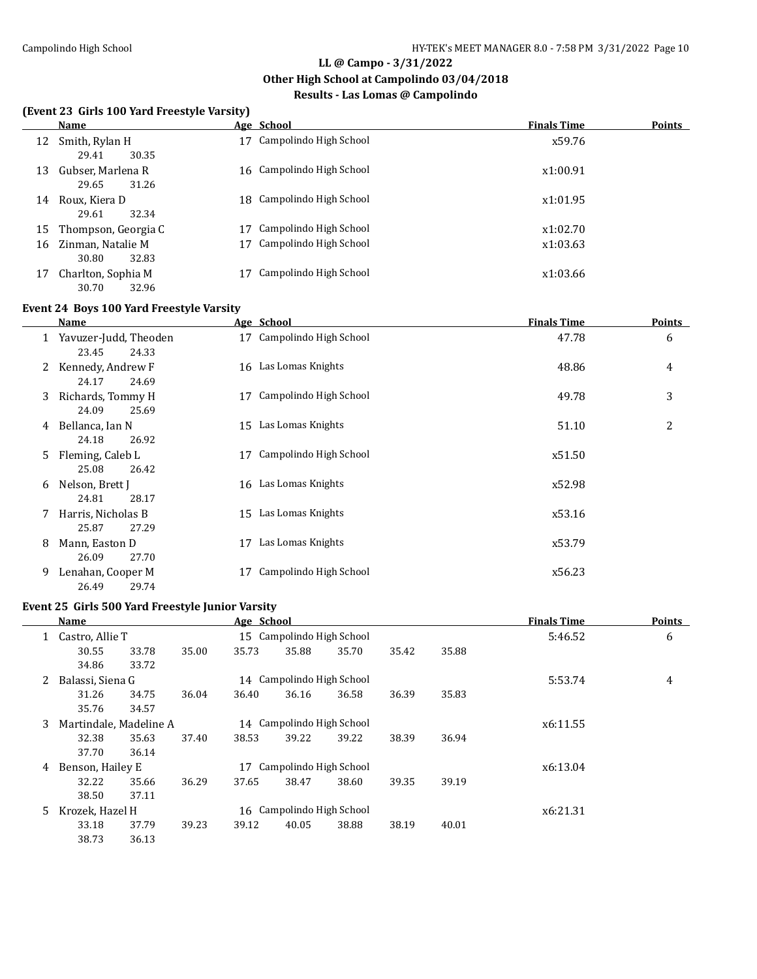**Other High School at Campolindo 03/04/2018**

## **Results - Las Lomas @ Campolindo**

#### **(Event 23 Girls 100 Yard Freestyle Varsity)**

|    | Name                |    | Age School                | <b>Finals Time</b> | <b>Points</b> |
|----|---------------------|----|---------------------------|--------------------|---------------|
| 12 | Smith, Rylan H      | 17 | Campolindo High School    | x59.76             |               |
|    | 29.41<br>30.35      |    |                           |                    |               |
| 13 | Gubser, Marlena R   |    | 16 Campolindo High School | x1:00.91           |               |
|    | 29.65<br>31.26      |    |                           |                    |               |
| 14 | Roux, Kiera D       |    | 18 Campolindo High School | x1:01.95           |               |
|    | 29.61<br>32.34      |    |                           |                    |               |
| 15 | Thompson, Georgia C |    | Campolindo High School    | x1:02.70           |               |
| 16 | Zinman, Natalie M   | 17 | Campolindo High School    | x1:03.63           |               |
|    | 30.80<br>32.83      |    |                           |                    |               |
| 17 | Charlton, Sophia M  |    | Campolindo High School    | x1:03.66           |               |
|    | 30.70<br>32.96      |    |                           |                    |               |

#### **Event 24 Boys 100 Yard Freestyle Varsity**

|              | Name                                    |    | Age School                | <b>Finals Time</b> |   |  |
|--------------|-----------------------------------------|----|---------------------------|--------------------|---|--|
| $\mathbf{1}$ | Yavuzer-Judd, Theoden<br>23.45<br>24.33 |    | 17 Campolindo High School | 47.78              | 6 |  |
| 2            | Kennedy, Andrew F<br>24.17<br>24.69     |    | 16 Las Lomas Knights      | 48.86              | 4 |  |
| 3            | Richards, Tommy H<br>24.09<br>25.69     | 17 | Campolindo High School    | 49.78              | 3 |  |
| 4            | Bellanca, Ian N<br>24.18<br>26.92       |    | 15 Las Lomas Knights      | 51.10              | 2 |  |
| 5.           | Fleming, Caleb L<br>25.08<br>26.42      | 17 | Campolindo High School    | x51.50             |   |  |
| 6            | Nelson, Brett J<br>28.17<br>24.81       |    | 16 Las Lomas Knights      | x52.98             |   |  |
| 7            | Harris, Nicholas B<br>25.87<br>27.29    |    | 15 Las Lomas Knights      | x53.16             |   |  |
| 8            | Mann, Easton D<br>26.09<br>27.70        | 17 | Las Lomas Knights         | x53.79             |   |  |
| 9            | Lenahan, Cooper M<br>26.49<br>29.74     | 17 | Campolindo High School    | x56.23             |   |  |

## **Event 25 Girls 500 Yard Freestyle Junior Varsity**

|    | Name             |                        |       | Age School |                           |                           |       |       | <b>Finals Time</b> | <b>Points</b> |
|----|------------------|------------------------|-------|------------|---------------------------|---------------------------|-------|-------|--------------------|---------------|
| 1  | Castro, Allie T  |                        |       |            | 15 Campolindo High School |                           |       |       | 5:46.52            | 6             |
|    | 30.55            | 33.78                  | 35.00 | 35.73      | 35.88                     | 35.70                     | 35.42 | 35.88 |                    |               |
|    | 34.86            | 33.72                  |       |            |                           |                           |       |       |                    |               |
| 2  | Balassi, Siena G |                        |       |            | 14 Campolindo High School |                           |       |       | 5:53.74            | 4             |
|    | 31.26            | 34.75                  | 36.04 | 36.40      | 36.16                     | 36.58                     | 36.39 | 35.83 |                    |               |
|    | 35.76            | 34.57                  |       |            |                           |                           |       |       |                    |               |
| 3  |                  | Martindale, Madeline A |       |            | 14 Campolindo High School |                           |       |       | x6:11.55           |               |
|    | 32.38            | 35.63                  | 37.40 | 38.53      | 39.22                     | 39.22                     | 38.39 | 36.94 |                    |               |
|    | 37.70            | 36.14                  |       |            |                           |                           |       |       |                    |               |
| 4  | Benson, Hailey E |                        |       | 17         | Campolindo High School    |                           |       |       | x6:13.04           |               |
|    | 32.22            | 35.66                  | 36.29 | 37.65      | 38.47                     | 38.60                     | 39.35 | 39.19 |                    |               |
|    | 38.50            | 37.11                  |       |            |                           |                           |       |       |                    |               |
| 5. |                  | Krozek, Hazel H        |       |            |                           | 16 Campolindo High School |       |       | x6:21.31           |               |
|    | 33.18            | 37.79                  | 39.23 | 39.12      | 40.05                     | 38.88                     | 38.19 | 40.01 |                    |               |
|    | 38.73            | 36.13                  |       |            |                           |                           |       |       |                    |               |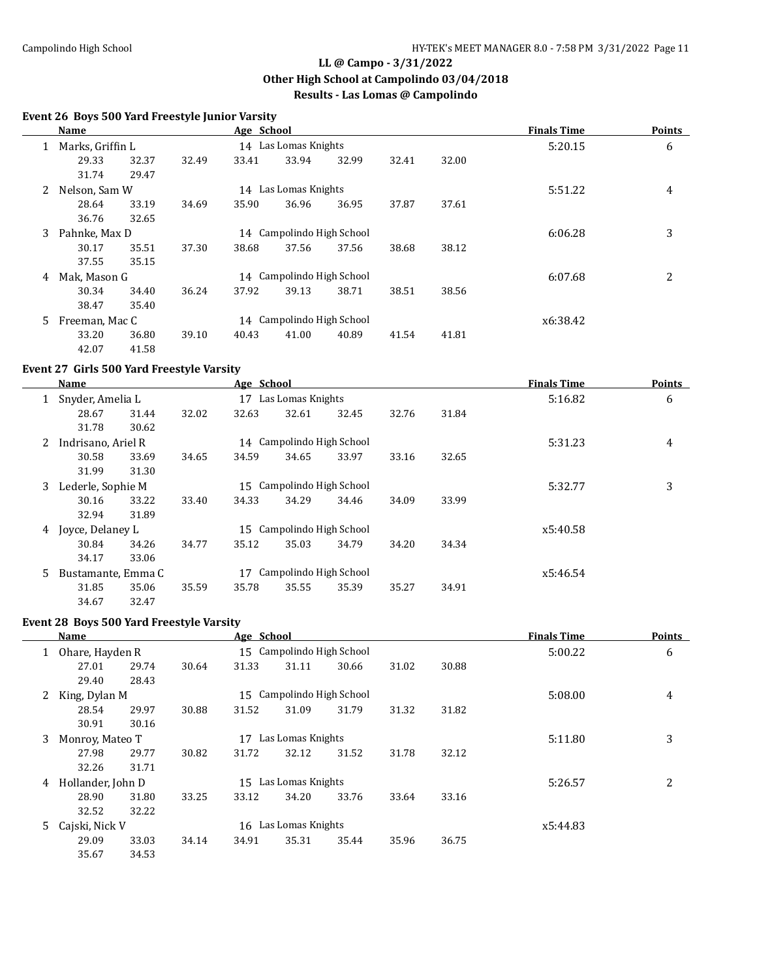**Other High School at Campolindo 03/04/2018**

## **Results - Las Lomas @ Campolindo**

### **Event 26 Boys 500 Yard Freestyle Junior Varsity**

|   | <b>Name</b>                                |                                                |       | Age School |                           |         |          |       | <b>Finals Time</b> | <b>Points</b> |
|---|--------------------------------------------|------------------------------------------------|-------|------------|---------------------------|---------|----------|-------|--------------------|---------------|
|   |                                            | 14 Las Lomas Knights<br>Marks, Griffin L       |       |            |                           |         |          |       | 5:20.15            | 6             |
|   | 29.33                                      | 32.37                                          | 32.49 | 33.41      | 33.94                     | 32.99   | 32.41    | 32.00 |                    |               |
|   | 31.74                                      | 29.47                                          |       |            |                           |         |          |       |                    |               |
| 2 | Nelson, Sam W                              |                                                |       |            | 14 Las Lomas Knights      |         |          |       | 5:51.22            | 4             |
|   | 28.64                                      | 33.19                                          | 34.69 | 35.90      | 36.96                     | 36.95   | 37.87    | 37.61 |                    |               |
|   | 36.76                                      | 32.65                                          |       |            |                           |         |          |       |                    |               |
| 3 | 14 Campolindo High School<br>Pahnke, Max D |                                                |       |            |                           | 6:06.28 | 3        |       |                    |               |
|   | 30.17                                      | 35.51                                          | 37.30 | 38.68      | 37.56                     | 37.56   | 38.68    | 38.12 |                    |               |
|   | 37.55                                      | 35.15                                          |       |            |                           |         |          |       |                    |               |
| 4 | Mak, Mason G                               |                                                |       |            | 14 Campolindo High School |         |          |       | 6:07.68            | 2             |
|   | 30.34                                      | 34.40                                          | 36.24 | 37.92      | 39.13                     | 38.71   | 38.51    | 38.56 |                    |               |
|   | 38.47                                      | 35.40                                          |       |            |                           |         |          |       |                    |               |
| 5 |                                            | Campolindo High School<br>Freeman, Mac C<br>14 |       |            |                           |         | x6:38.42 |       |                    |               |
|   | 33.20                                      | 36.80                                          | 39.10 | 40.43      | 41.00                     | 40.89   | 41.54    | 41.81 |                    |               |
|   | 42.07                                      | 41.58                                          |       |            |                           |         |          |       |                    |               |

### **Event 27 Girls 500 Yard Freestyle Varsity**

|              | Name                                           |                                                    |       | Age School |                           |         |          |         | <b>Finals Time</b> | <b>Points</b> |
|--------------|------------------------------------------------|----------------------------------------------------|-------|------------|---------------------------|---------|----------|---------|--------------------|---------------|
| $\mathbf{1}$ | Snyder, Amelia L                               |                                                    |       | 17         | Las Lomas Knights         |         |          | 5:16.82 |                    | 6             |
|              | 28.67                                          | 31.44                                              | 32.02 | 32.63      | 32.61                     | 32.45   | 32.76    | 31.84   |                    |               |
|              | 31.78                                          | 30.62                                              |       |            |                           |         |          |         |                    |               |
| 2            | Indrisano, Ariel R                             |                                                    |       |            | 14 Campolindo High School |         |          |         | 5:31.23            | 4             |
|              | 30.58                                          | 33.69                                              | 34.65 | 34.59      | 34.65                     | 33.97   | 33.16    | 32.65   |                    |               |
|              | 31.99                                          | 31.30                                              |       |            |                           |         |          |         |                    |               |
| 3            | 15 Campolindo High School<br>Lederle, Sophie M |                                                    |       |            |                           | 5:32.77 | 3        |         |                    |               |
|              | 30.16                                          | 33.22                                              | 33.40 | 34.33      | 34.29                     | 34.46   | 34.09    | 33.99   |                    |               |
|              | 32.94                                          | 31.89                                              |       |            |                           |         |          |         |                    |               |
| 4            | Joyce, Delaney L                               |                                                    |       |            | 15 Campolindo High School |         |          |         | x5:40.58           |               |
|              | 30.84                                          | 34.26                                              | 34.77 | 35.12      | 35.03                     | 34.79   | 34.20    | 34.34   |                    |               |
|              | 34.17                                          | 33.06                                              |       |            |                           |         |          |         |                    |               |
| 5.           |                                                | Campolindo High School<br>Bustamante, Emma C<br>17 |       |            |                           |         | x5:46.54 |         |                    |               |
|              | 31.85                                          | 35.06                                              | 35.59 | 35.78      | 35.55                     | 35.39   | 35.27    | 34.91   |                    |               |
|              | 34.67                                          | 32.47                                              |       |            |                           |         |          |         |                    |               |

#### **Event 28 Boys 500 Yard Freestyle Varsity**

|              | Name              |       |       | Age School           |                           |       |         |          | <b>Finals Time</b> | <b>Points</b> |
|--------------|-------------------|-------|-------|----------------------|---------------------------|-------|---------|----------|--------------------|---------------|
|              | Ohare, Hayden R   |       |       |                      | 15 Campolindo High School |       |         |          | 5:00.22            | 6             |
|              | 27.01             | 29.74 | 30.64 | 31.33                | 31.11                     | 30.66 | 31.02   | 30.88    |                    |               |
|              | 29.40             | 28.43 |       |                      |                           |       |         |          |                    |               |
| $\mathbf{2}$ | King, Dylan M     |       |       |                      | 15 Campolindo High School |       | 5:08.00 | 4        |                    |               |
|              | 28.54             | 29.97 | 30.88 | 31.52                | 31.09                     | 31.79 | 31.32   | 31.82    |                    |               |
|              | 30.91             | 30.16 |       |                      |                           |       |         |          |                    |               |
| 3            | Monroy, Mateo T   |       |       | 17                   | Las Lomas Knights         |       |         |          | 5:11.80            | 3             |
|              | 27.98             | 29.77 | 30.82 | 31.72                | 32.12                     | 31.52 | 31.78   | 32.12    |                    |               |
|              | 32.26             | 31.71 |       |                      |                           |       |         |          |                    |               |
| 4            | Hollander, John D |       |       | 15 Las Lomas Knights |                           |       | 5:26.57 | 2        |                    |               |
|              | 28.90             | 31.80 | 33.25 | 33.12                | 34.20                     | 33.76 | 33.64   | 33.16    |                    |               |
|              | 32.52             | 32.22 |       |                      |                           |       |         |          |                    |               |
| 5.           | Cajski, Nick V    |       |       |                      | 16 Las Lomas Knights      |       |         | x5:44.83 |                    |               |
|              | 29.09             | 33.03 | 34.14 | 34.91                | 35.31                     | 35.44 | 35.96   | 36.75    |                    |               |
|              | 35.67             | 34.53 |       |                      |                           |       |         |          |                    |               |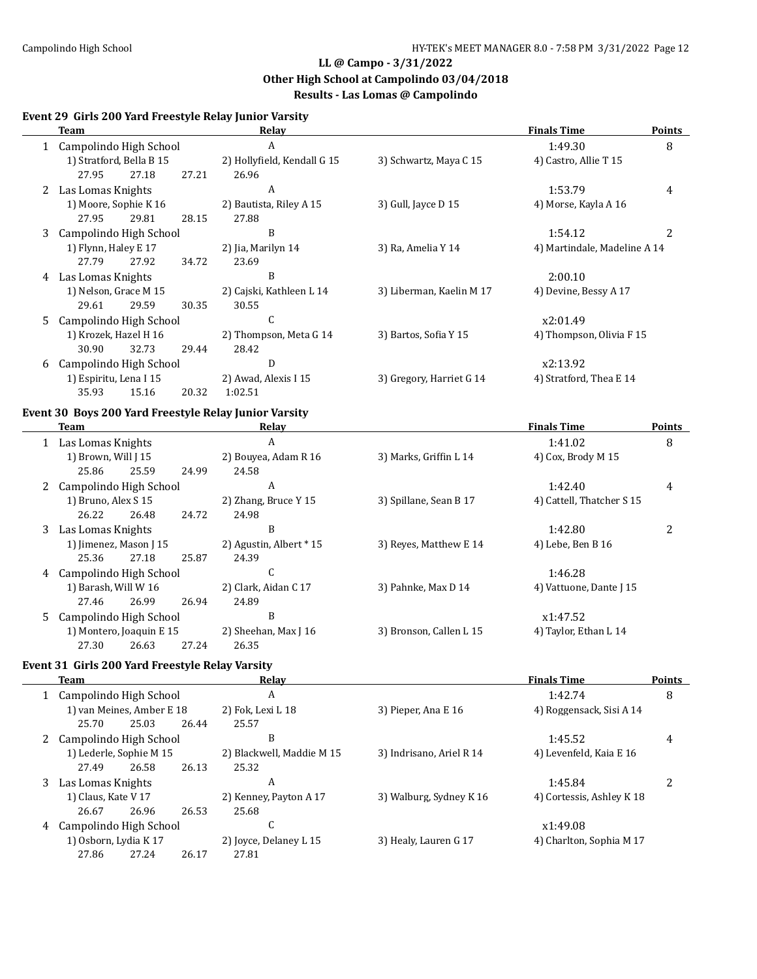**Other High School at Campolindo 03/04/2018**

## **Results - Las Lomas @ Campolindo**

#### **Event 29 Girls 200 Yard Freestyle Relay Junior Varsity**

|    | Team                     |                       |       | Relay                       |                          | <b>Finals Time</b>           |                |  |
|----|--------------------------|-----------------------|-------|-----------------------------|--------------------------|------------------------------|----------------|--|
|    | Campolindo High School   |                       |       | A                           |                          | 1:49.30                      | 8              |  |
|    | 1) Stratford, Bella B 15 |                       |       | 2) Hollyfield, Kendall G 15 | 3) Schwartz, Maya C 15   | 4) Castro, Allie T 15        |                |  |
|    | 27.95                    | 27.18                 | 27.21 | 26.96                       |                          |                              |                |  |
|    | 2 Las Lomas Knights      |                       |       | A                           |                          | 1:53.79                      | 4              |  |
|    | 1) Moore, Sophie K 16    |                       |       | 2) Bautista, Riley A 15     | 3) Gull, Jayce $D$ 15    | 4) Morse, Kayla A 16         |                |  |
|    | 27.95                    | 29.81                 | 28.15 | 27.88                       |                          |                              |                |  |
| 3  | Campolindo High School   |                       |       | B                           |                          | 1:54.12                      | $\overline{2}$ |  |
|    | 1) Flynn, Haley E 17     |                       |       | 2) Jia, Marilyn 14          | 3) Ra, Amelia Y 14       | 4) Martindale, Madeline A 14 |                |  |
|    | 27.79                    | 27.92                 | 34.72 | 23.69                       |                          |                              |                |  |
| 4  | Las Lomas Knights        |                       |       | B                           |                          | 2:00.10                      |                |  |
|    |                          | 1) Nelson, Grace M 15 |       | 2) Cajski, Kathleen L 14    | 3) Liberman, Kaelin M 17 | 4) Devine, Bessy A 17        |                |  |
|    | 29.61                    | 29.59                 | 30.35 | 30.55                       |                          |                              |                |  |
| 5. | Campolindo High School   |                       |       | C                           |                          | x2:01.49                     |                |  |
|    | 1) Krozek, Hazel H 16    |                       |       | 2) Thompson, Meta G 14      | 3) Bartos, Sofia Y 15    | 4) Thompson, Olivia F 15     |                |  |
|    | 30.90                    | 32.73                 | 29.44 | 28.42                       |                          |                              |                |  |
| 6  | Campolindo High School   |                       |       | D                           |                          | x2:13.92                     |                |  |
|    | 1) Espiritu, Lena I 15   |                       |       | 2) Awad, Alexis I 15        | 3) Gregory, Harriet G 14 | 4) Stratford, Thea E 14      |                |  |
|    | 35.93                    | 15.16                 | 20.32 | 1:02.51                     |                          |                              |                |  |

#### **Event 30 Boys 200 Yard Freestyle Relay Junior Varsity**

|                          | <b>Team</b>            |       |                         | Relay                | <b>Finals Time</b>      |                           |   |
|--------------------------|------------------------|-------|-------------------------|----------------------|-------------------------|---------------------------|---|
|                          | Las Lomas Knights      |       |                         | A                    |                         | 1:41.02                   | 8 |
|                          | 1) Brown, Will [15]    |       |                         | 2) Bouyea, Adam R 16 | 3) Marks, Griffin L 14  | 4) Cox, Brody M 15        |   |
|                          | 25.86                  | 25.59 | 24.99                   | 24.58                |                         |                           |   |
| 2                        | Campolindo High School |       |                         | A                    |                         | 1:42.40                   | 4 |
|                          | 1) Bruno, Alex S 15    |       |                         | 2) Zhang, Bruce Y 15 | 3) Spillane, Sean B 17  | 4) Cattell, Thatcher S 15 |   |
|                          | 26.22                  | 26.48 | 24.72                   | 24.98                |                         |                           |   |
| 3                        | Las Lomas Knights      |       |                         | B                    |                         | 1:42.80                   | 2 |
| 1) Jimenez, Mason J 15   |                        |       | 2) Agustin, Albert * 15 |                      | 3) Reves, Matthew E 14  | 4) Lebe, Ben B 16         |   |
|                          | 25.36                  | 27.18 | 25.87                   | 24.39                |                         |                           |   |
| 4                        | Campolindo High School |       |                         | C                    |                         | 1:46.28                   |   |
|                          | 1) Barash, Will W 16   |       |                         | 2) Clark, Aidan C 17 | 3) Pahnke, Max D 14     | 4) Vattuone, Dante J 15   |   |
|                          | 27.46                  | 26.99 | 26.94                   | 24.89                |                         |                           |   |
| 5.                       | Campolindo High School |       |                         | B                    |                         | x1:47.52                  |   |
| 1) Montero, Joaquin E 15 |                        |       | 2) Sheehan, Max J 16    |                      | 3) Bronson, Callen L 15 | 4) Taylor, Ethan L 14     |   |
|                          | 27.30                  | 26.63 | 27.24                   | 26.35                |                         |                           |   |

## **Event 31 Girls 200 Yard Freestyle Relay Varsity**

|                         | Team                      |       |                        | Relay                     |                          | <b>Finals Time</b>        | <b>Points</b> |
|-------------------------|---------------------------|-------|------------------------|---------------------------|--------------------------|---------------------------|---------------|
|                         | 1 Campolindo High School  |       |                        | A                         | 1:42.74                  | 8                         |               |
|                         | 1) van Meines, Amber E 18 |       |                        | 2) Fok, Lexi L 18         | 3) Pieper, Ana E 16      | 4) Roggensack, Sisi A 14  |               |
|                         | 25.70                     | 25.03 | 26.44                  | 25.57                     |                          |                           |               |
|                         | 2 Campolindo High School  |       |                        | B                         |                          | 1:45.52                   | 4             |
| 1) Lederle, Sophie M 15 |                           |       |                        | 2) Blackwell, Maddie M 15 | 3) Indrisano, Ariel R 14 | 4) Levenfeld, Kaia E 16   |               |
|                         | 27.49                     | 26.58 | 26.13                  | 25.32                     |                          |                           |               |
|                         | 3 Las Lomas Knights       |       |                        | A                         |                          | 1:45.84                   |               |
|                         | 1) Claus, Kate V 17       |       |                        | 2) Kenney, Payton A 17    | 3) Walburg, Sydney K 16  | 4) Cortessis, Ashley K 18 |               |
|                         | 26.67                     | 26.96 | 26.53                  | 25.68                     |                          |                           |               |
| 4                       | Campolindo High School    |       | C                      |                           | x1:49.08                 |                           |               |
| 1) Osborn, Lydia K 17   |                           |       | 2) Joyce, Delaney L 15 | 3) Healy, Lauren G 17     | 4) Charlton, Sophia M 17 |                           |               |
|                         | 27.86                     | 27.24 | 26.17                  | 27.81                     |                          |                           |               |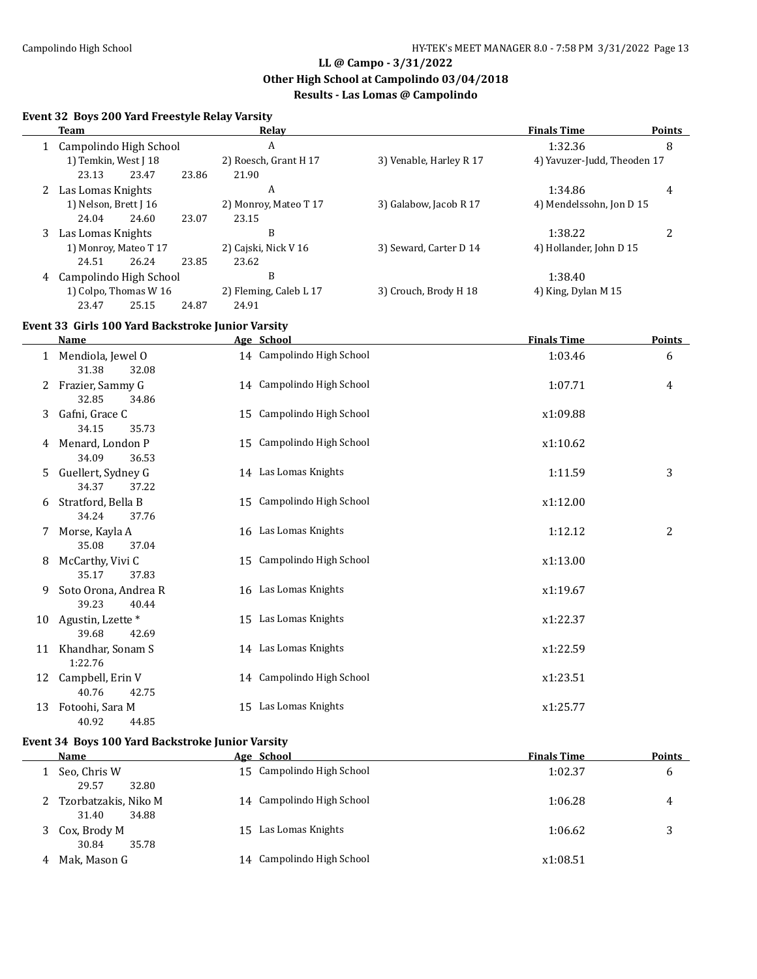**Other High School at Campolindo 03/04/2018**

## **Results - Las Lomas @ Campolindo**

## **Event 32 Boys 200 Yard Freestyle Relay Varsity**

|                        | <b>Team</b>                                       |       | Relay                     |                         | <b>Finals Time</b>          | <b>Points</b> |
|------------------------|---------------------------------------------------|-------|---------------------------|-------------------------|-----------------------------|---------------|
| Campolindo High School |                                                   |       | A                         |                         | 1:32.36                     | 8             |
|                        | 1) Temkin, West J 18                              |       | 2) Roesch, Grant H 17     | 3) Venable, Harley R 17 | 4) Yavuzer-Judd, Theoden 17 |               |
|                        | 23.13<br>23.47                                    | 23.86 | 21.90                     |                         |                             |               |
| 2                      | Las Lomas Knights                                 |       | A                         |                         | 1:34.86                     | 4             |
|                        | 1) Nelson, Brett J 16                             |       | 2) Monroy, Mateo T 17     | 3) Galabow, Jacob R 17  | 4) Mendelssohn, Jon D 15    |               |
|                        | 24.04<br>24.60                                    | 23.07 | 23.15                     |                         |                             |               |
| 3                      | Las Lomas Knights                                 |       | B                         |                         | 1:38.22                     | 2             |
|                        | 1) Monroy, Mateo T 17                             |       | 2) Cajski, Nick V 16      | 3) Seward, Carter D 14  | 4) Hollander, John D 15     |               |
|                        | 24.51<br>26.24                                    | 23.85 | 23.62                     |                         |                             |               |
| 4                      | Campolindo High School                            |       | B                         |                         | 1:38.40                     |               |
| 1) Colpo, Thomas W 16  |                                                   |       | 2) Fleming, Caleb L 17    | 3) Crouch, Brody H 18   | 4) King, Dylan M 15         |               |
|                        | 23.47<br>25.15                                    | 24.87 | 24.91                     |                         |                             |               |
|                        | Event 33 Girls 100 Yard Backstroke Junior Varsity |       |                           |                         |                             |               |
|                        | Name                                              |       | Age School                |                         | <b>Finals Time</b>          | <b>Points</b> |
|                        | Mendiola, Jewel O                                 |       | 14 Campolindo High School |                         | 1:03.46                     | 6             |
|                        | 31.38<br>32.08                                    |       |                           |                         |                             |               |
|                        | Frazier, Sammy G                                  |       | 14 Campolindo High School |                         | 1:07.71                     | 4             |
|                        | 32.85<br>34.86                                    |       |                           |                         |                             |               |
| 3                      | Gafni, Grace C                                    |       | 15 Campolindo High School |                         | x1:09.88                    |               |
|                        | 34.15<br>35.73                                    |       |                           |                         |                             |               |
| 4                      | Menard, London P                                  |       | 15 Campolindo High School |                         | x1:10.62                    |               |

|    | 34.09                | 36.53 |    |                           |          |   |
|----|----------------------|-------|----|---------------------------|----------|---|
|    | 5 Guellert, Sydney G |       |    | 14 Las Lomas Knights      | 1:11.59  | 3 |
|    | 34.37                | 37.22 |    |                           |          |   |
| 6  | Stratford, Bella B   |       | 15 | Campolindo High School    | x1:12.00 |   |
|    | 34.24                | 37.76 |    |                           |          |   |
| 7  | Morse, Kayla A       |       |    | 16 Las Lomas Knights      | 1:12.12  | 2 |
|    | 35.08                | 37.04 |    |                           |          |   |
| 8  | McCarthy, Vivi C     |       | 15 | Campolindo High School    | x1:13.00 |   |
|    | 35.17                | 37.83 |    |                           |          |   |
| 9. | Soto Orona, Andrea R |       |    | 16 Las Lomas Knights      | x1:19.67 |   |
|    | 39.23                | 40.44 |    |                           |          |   |
| 10 | Agustin, Lzette *    |       | 15 | Las Lomas Knights         | x1:22.37 |   |
|    | 39.68                | 42.69 |    |                           |          |   |
| 11 | Khandhar, Sonam S    |       |    | 14 Las Lomas Knights      | x1:22.59 |   |
|    | 1:22.76              |       |    |                           |          |   |
| 12 | Campbell, Erin V     |       |    | 14 Campolindo High School | x1:23.51 |   |
|    | 40.76                | 42.75 |    |                           |          |   |
| 13 | Fotoohi, Sara M      |       | 15 | Las Lomas Knights         | x1:25.77 |   |
|    | 40.92                | 44.85 |    |                           |          |   |

#### **Event 34 Boys 100 Yard Backstroke Junior Varsity**

|   | Name                                   | Age School                | <b>Finals Time</b> | <b>Points</b> |
|---|----------------------------------------|---------------------------|--------------------|---------------|
|   | Seo, Chris W<br>29.57<br>32.80         | 15 Campolindo High School | 1:02.37            | 6             |
|   | Tzorbatzakis, Niko M<br>34.88<br>31.40 | 14 Campolindo High School | 1:06.28            | 4             |
|   | Cox, Brody M<br>30.84<br>35.78         | 15 Las Lomas Knights      | 1:06.62            | 3             |
| 4 | Mak, Mason G                           | 14 Campolindo High School | x1:08.51           |               |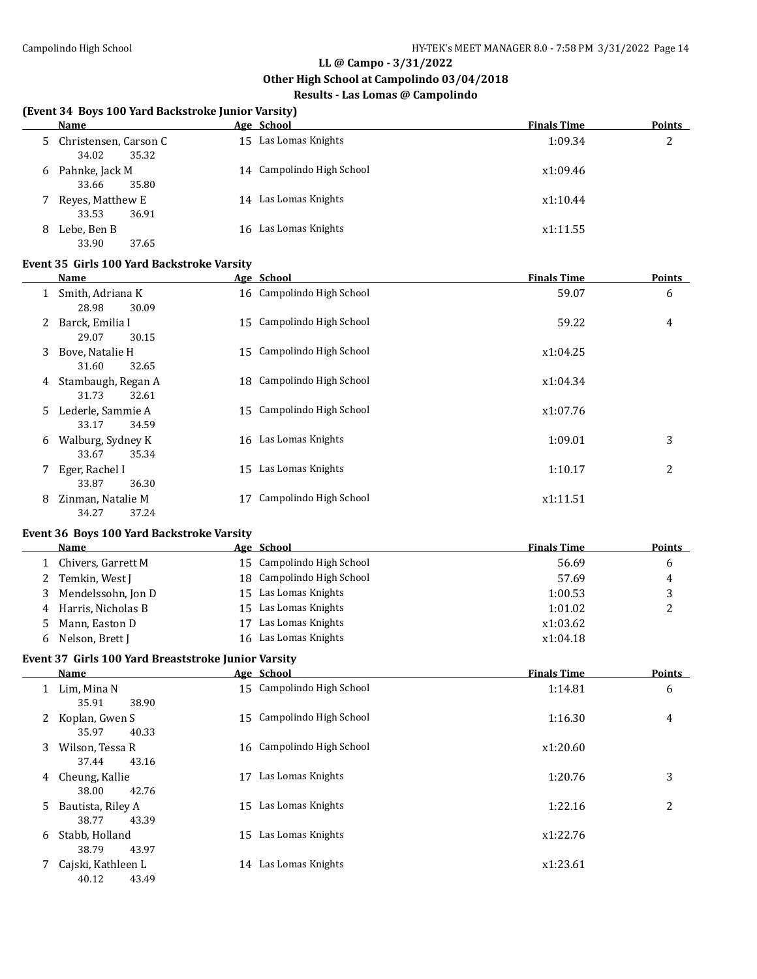**Other High School at Campolindo 03/04/2018**

## **Results - Las Lomas @ Campolindo**

#### **(Event 34 Boys 100 Yard Backstroke Junior Varsity)**

| Name                                          | Age School                | <b>Finals Time</b> | <b>Points</b> |
|-----------------------------------------------|---------------------------|--------------------|---------------|
| Christensen, Carson C<br>5.<br>35.32<br>34.02 | 15 Las Lomas Knights      | 1:09.34            | 2             |
| Pahnke, Jack M<br>6<br>35.80<br>33.66         | 14 Campolindo High School | x1:09.46           |               |
| Reyes, Matthew E<br>36.91<br>33.53            | 14 Las Lomas Knights      | x1:10.44           |               |
| Lebe, Ben B<br>8<br>33.90<br>37.65            | 16 Las Lomas Knights      | x1:11.55           |               |

#### **Event 35 Girls 100 Yard Backstroke Varsity**

|    | Name                                 |    | Age School                | <b>Finals Time</b> | <b>Points</b> |
|----|--------------------------------------|----|---------------------------|--------------------|---------------|
| 1  | Smith, Adriana K<br>28.98<br>30.09   |    | 16 Campolindo High School | 59.07              | 6             |
| 2  | Barck, Emilia I<br>29.07<br>30.15    |    | 15 Campolindo High School | 59.22              | 4             |
| 3  | Bove, Natalie H<br>31.60<br>32.65    |    | 15 Campolindo High School | x1:04.25           |               |
| 4  | Stambaugh, Regan A<br>31.73<br>32.61 |    | 18 Campolindo High School | x1:04.34           |               |
| 5. | Lederle, Sammie A<br>33.17<br>34.59  | 15 | Campolindo High School    | x1:07.76           |               |
| 6  | Walburg, Sydney K<br>35.34<br>33.67  |    | 16 Las Lomas Knights      | 1:09.01            | 3             |
| 7  | Eger, Rachel I<br>33.87<br>36.30     | 15 | Las Lomas Knights         | 1:10.17            | 2             |
| 8  | Zinman, Natalie M<br>37.24<br>34.27  | 17 | Campolindo High School    | x1:11.51           |               |

#### **Event 36 Boys 100 Yard Backstroke Varsity**

|    | Name                 |     | Age School                | <b>Finals Time</b> | <b>Points</b> |
|----|----------------------|-----|---------------------------|--------------------|---------------|
|    | Chivers, Garrett M   |     | 15 Campolindo High School | 56.69              | b             |
|    | Temkin, West J       |     | 18 Campolindo High School | 57.69              | 4             |
|    | Mendelssohn, Jon D   | 15. | Las Lomas Knights         | 1:00.53            |               |
|    | 4 Harris, Nicholas B |     | 15 Las Lomas Knights      | 1:01.02            |               |
| 5. | Mann, Easton D       | 17  | Las Lomas Knights         | x1:03.62           |               |
| b. | Nelson, Brett J      | 16  | Las Lomas Knights         | x1:04.18           |               |

#### **Event 37 Girls 100 Yard Breaststroke Junior Varsity**

|   | Name                              |    | Age School                | <b>Finals Time</b> | <b>Points</b> |
|---|-----------------------------------|----|---------------------------|--------------------|---------------|
| 1 | Lim, Mina N                       |    | 15 Campolindo High School | 1:14.81            | 6             |
|   | 35.91<br>38.90                    |    |                           |                    |               |
| 2 | Koplan, Gwen S<br>35.97<br>40.33  |    | 15 Campolindo High School | 1:16.30            | 4             |
| 3 | Wilson, Tessa R<br>43.16<br>37.44 |    | 16 Campolindo High School | x1:20.60           |               |
| 4 | Cheung, Kallie                    | 17 | Las Lomas Knights         | 1:20.76            | 3             |
|   | 42.76<br>38.00                    |    |                           |                    |               |
| 5 | Bautista, Riley A                 |    | 15 Las Lomas Knights      | 1:22.16            | 2             |
|   | 38.77<br>43.39                    |    |                           |                    |               |
| 6 | Stabb, Holland                    | 15 | Las Lomas Knights         | x1:22.76           |               |
|   | 43.97<br>38.79                    |    |                           |                    |               |
|   | Cajski, Kathleen L                | 14 | Las Lomas Knights         | x1:23.61           |               |
|   | 43.49<br>40.12                    |    |                           |                    |               |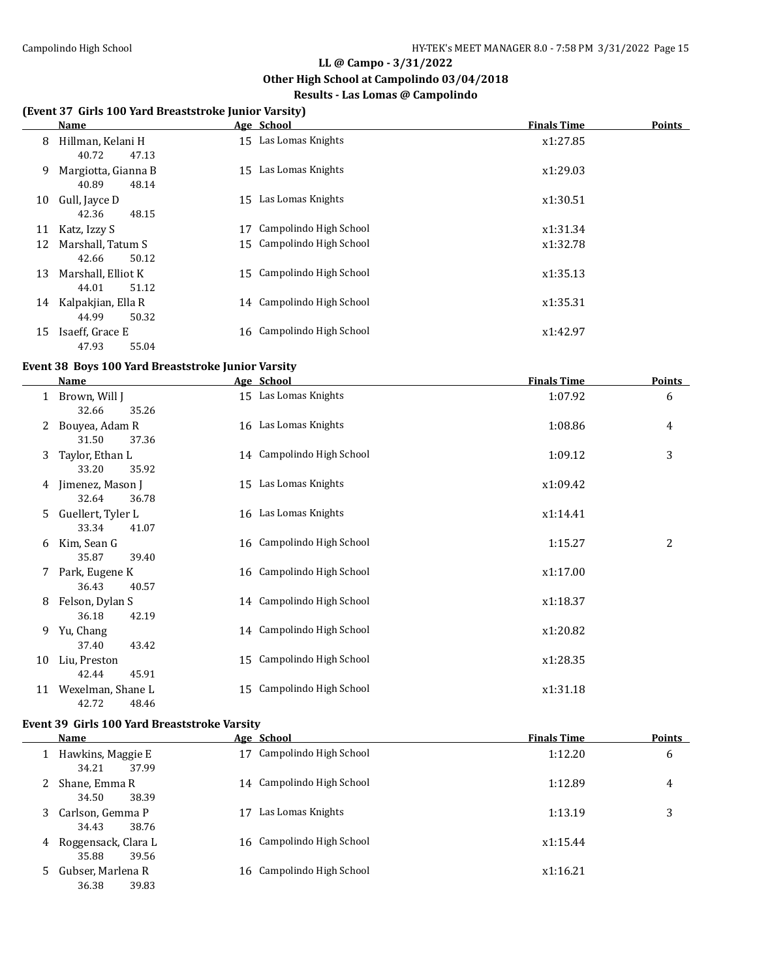$\overline{a}$ 

#### **LL @ Campo - 3/31/2022**

#### **Other High School at Campolindo 03/04/2018**

### **Results - Las Lomas @ Campolindo**

#### **(Event 37 Girls 100 Yard Breaststroke Junior Varsity)**

|    | Name                                  | Age School                | <b>Finals Time</b> | <b>Points</b> |
|----|---------------------------------------|---------------------------|--------------------|---------------|
| 8  | Hillman, Kelani H<br>40.72<br>47.13   | 15 Las Lomas Knights      | x1:27.85           |               |
| 9  | Margiotta, Gianna B<br>40.89<br>48.14 | 15 Las Lomas Knights      | x1:29.03           |               |
| 10 | Gull, Jayce D<br>42.36<br>48.15       | 15 Las Lomas Knights      | x1:30.51           |               |
| 11 | Katz, Izzy S                          | Campolindo High School    | x1:31.34           |               |
| 12 | Marshall. Tatum S<br>50.12<br>42.66   | 15 Campolindo High School | x1:32.78           |               |
| 13 | Marshall, Elliot K<br>44.01<br>51.12  | 15 Campolindo High School | x1:35.13           |               |
| 14 | Kalpakjian, Ella R<br>44.99<br>50.32  | 14 Campolindo High School | x1:35.31           |               |
| 15 | Isaeff, Grace E<br>55.04<br>47.93     | 16 Campolindo High School | x1:42.97           |               |

## **Event 38 Boys 100 Yard Breaststroke Junior Varsity**

|    | Name                                | Age School                   | <b>Finals Time</b> | <b>Points</b> |
|----|-------------------------------------|------------------------------|--------------------|---------------|
| 1  | Brown, Will J<br>32.66<br>35.26     | 15 Las Lomas Knights         | 1:07.92            | 6             |
| 2  | Bouyea, Adam R<br>31.50<br>37.36    | 16 Las Lomas Knights         | 1:08.86            | 4             |
| 3  | Taylor, Ethan L<br>33.20<br>35.92   | 14 Campolindo High School    | 1:09.12            | 3             |
| 4  | Jimenez, Mason J<br>32.64<br>36.78  | Las Lomas Knights<br>15      | x1:09.42           |               |
| 5. | Guellert, Tyler L<br>33.34<br>41.07 | 16 Las Lomas Knights         | x1:14.41           |               |
| 6  | Kim, Sean G<br>35.87<br>39.40       | 16 Campolindo High School    | 1:15.27            | 2             |
| 7  | Park, Eugene K<br>36.43<br>40.57    | 16 Campolindo High School    | x1:17.00           |               |
| 8  | Felson, Dylan S<br>36.18<br>42.19   | 14 Campolindo High School    | x1:18.37           |               |
| 9  | Yu, Chang<br>37.40<br>43.42         | 14 Campolindo High School    | x1:20.82           |               |
| 10 | Liu, Preston<br>42.44<br>45.91      | Campolindo High School<br>15 | x1:28.35           |               |
| 11 | Wexelman, Shane L<br>42.72<br>48.46 | Campolindo High School<br>15 | x1:31.18           |               |

#### **Event 39 Girls 100 Yard Breaststroke Varsity**

|   | <b>Name</b>                           | Age School                   | <b>Finals Time</b> | <b>Points</b> |
|---|---------------------------------------|------------------------------|--------------------|---------------|
|   | Hawkins, Maggie E<br>37.99<br>34.21   | Campolindo High School<br>17 | 1:12.20            | 6             |
|   | Shane, Emma R<br>34.50<br>38.39       | 14 Campolindo High School    | 1:12.89            | 4             |
| 3 | Carlson, Gemma P<br>34.43<br>38.76    | Las Lomas Knights            | 1:13.19            | 3             |
| 4 | Roggensack, Clara L<br>35.88<br>39.56 | 16 Campolindo High School    | x1:15.44           |               |
| 5 | Gubser, Marlena R<br>36.38<br>39.83   | 16 Campolindo High School    | x1:16.21           |               |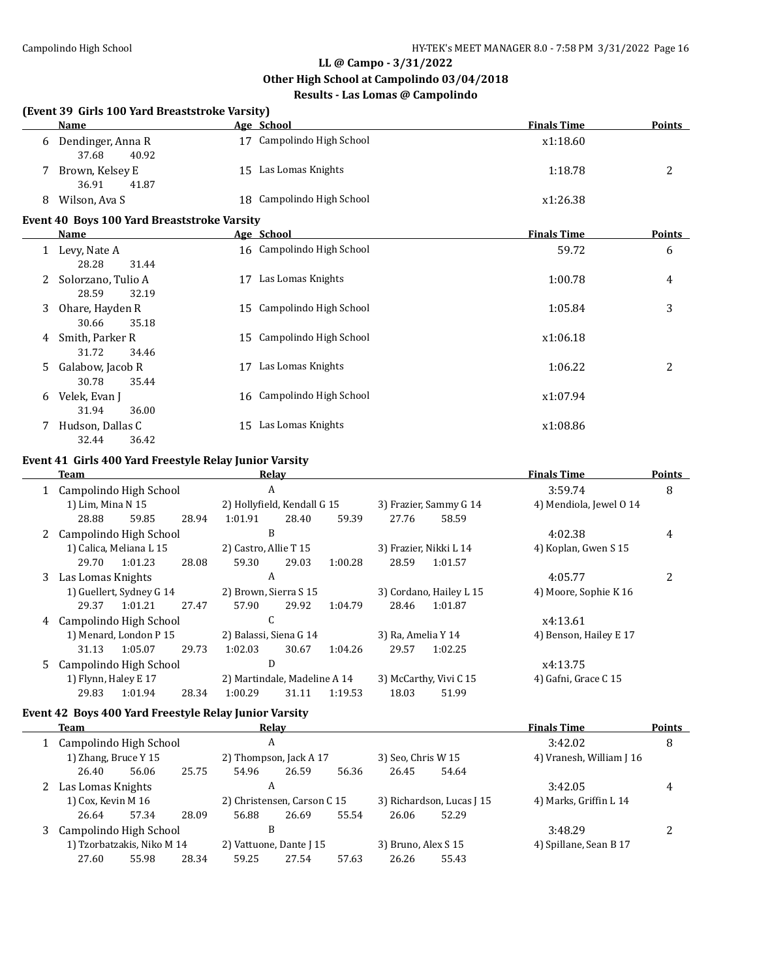**Other High School at Campolindo 03/04/2018**

## **Results - Las Lomas @ Campolindo**

#### **(Event 39 Girls 100 Yard Breaststroke Varsity)**

|   | <b>Name</b>                                 | Age School                | <b>Finals Time</b> | <b>Points</b> |
|---|---------------------------------------------|---------------------------|--------------------|---------------|
| 6 | Dendinger, Anna R<br>40.92<br>37.68         | 17 Campolindo High School | x1:18.60           |               |
|   | Brown, Kelsey E<br>36.91<br>41.87           | 15 Las Lomas Knights      | 1:18.78            |               |
| 8 | Wilson, Ava S                               | 18 Campolindo High School | x1:26.38           |               |
|   | Event 40 Boys 100 Yard Breaststroke Varsity |                           |                    |               |

|    | Name               |    | Age School                | <b>Finals Time</b> | <b>Points</b> |
|----|--------------------|----|---------------------------|--------------------|---------------|
|    | Levy, Nate A       |    | 16 Campolindo High School | 59.72              | 6             |
|    | 28.28<br>31.44     |    |                           |                    |               |
| 2  | Solorzano, Tulio A | 17 | Las Lomas Knights         | 1:00.78            | 4             |
|    | 28.59<br>32.19     |    |                           |                    |               |
| 3  | Ohare, Hayden R    |    | 15 Campolindo High School | 1:05.84            | 3             |
|    | 35.18<br>30.66     |    |                           |                    |               |
| 4  | Smith, Parker R    |    | 15 Campolindo High School | x1:06.18           |               |
|    | 31.72<br>34.46     |    |                           |                    |               |
| 5. | Galabow, Jacob R   | 17 | Las Lomas Knights         | 1:06.22            | 2             |
|    | 35.44<br>30.78     |    |                           |                    |               |
| 6  | Velek, Evan J      |    | 16 Campolindo High School | x1:07.94           |               |
|    | 31.94<br>36.00     |    |                           |                    |               |
|    | Hudson, Dallas C   | 15 | Las Lomas Knights         | x1:08.86           |               |
|    | 32.44<br>36.42     |    |                           |                    |               |

#### **Event 41 Girls 400 Yard Freestyle Relay Junior Varsity**

| Team |                          |                         | Relay                  |                              |       |                    |                         | <b>Finals Time</b>     | <b>Points</b>           |   |
|------|--------------------------|-------------------------|------------------------|------------------------------|-------|--------------------|-------------------------|------------------------|-------------------------|---|
|      | Campolindo High School   |                         |                        | A                            |       |                    |                         |                        | 3:59.74                 | 8 |
|      | 1) Lim, Mina N 15        |                         |                        | 2) Hollyfield, Kendall G 15  |       |                    |                         | 3) Frazier, Sammy G 14 | 4) Mendiola, Jewel 0 14 |   |
|      | 28.88                    | 59.85                   | 28.94                  | 1:01.91                      | 28.40 | 59.39              | 27.76                   | 58.59                  |                         |   |
|      | 2 Campolindo High School |                         |                        | B                            |       |                    |                         |                        | 4:02.38                 | 4 |
|      |                          | 1) Calica, Meliana L 15 |                        | 2) Castro, Allie T 15        |       |                    |                         | 3) Frazier, Nikki L 14 | 4) Koplan, Gwen S 15    |   |
|      | 29.70                    | 1:01.23                 | 28.08                  | 59.30                        | 29.03 | 1:00.28            | 28.59                   | 1:01.57                |                         |   |
|      | 3 Las Lomas Knights      |                         |                        | A                            |       |                    |                         |                        | 4:05.77                 | 2 |
|      | 1) Guellert, Sydney G 14 |                         |                        | 2) Brown, Sierra S 15        |       |                    | 3) Cordano, Hailey L 15 | 4) Moore, Sophie K 16  |                         |   |
|      | 29.37                    | 1:01.21                 | 27.47                  | 57.90                        | 29.92 | 1:04.79            | 28.46                   | 1:01.87                |                         |   |
| 4    |                          | Campolindo High School  |                        | C                            |       |                    |                         |                        | x4:13.61                |   |
|      | 1) Menard, London P 15   |                         | 2) Balassi, Siena G 14 |                              |       | 3) Ra, Amelia Y 14 |                         | 4) Benson, Hailey E 17 |                         |   |
|      | 31.13                    | 1:05.07                 | 29.73                  | 1:02.03                      | 30.67 | 1:04.26            | 29.57                   | 1:02.25                |                         |   |
|      | 5 Campolindo High School |                         |                        | D                            |       |                    |                         |                        | x4:13.75                |   |
|      | 1) Flynn, Haley E 17     |                         |                        | 2) Martindale, Madeline A 14 |       |                    |                         | 3) McCarthy, Vivi C 15 | 4) Gafni, Grace C 15    |   |
|      | 29.83                    | 1:01.94                 | 28.34                  | 1:00.29                      | 31.11 | 1:19.53            | 18.03                   | 51.99                  |                         |   |

## **Event 42 Boys 400 Yard Freestyle Relay Junior Varsity**

| <b>Team</b>                |       |       |                             | Relay |                     |                           |                          | <b>Finals Time</b>     | <b>Points</b> |
|----------------------------|-------|-------|-----------------------------|-------|---------------------|---------------------------|--------------------------|------------------------|---------------|
| Campolindo High School     |       |       | A                           |       |                     |                           |                          | 3:42.02                | 8             |
| 1) Zhang, Bruce Y 15       |       |       | 2) Thompson, Jack A 17      |       | 3) Seo, Chris W 15  |                           | 4) Vranesh, William J 16 |                        |               |
| 26.40                      | 56.06 | 25.75 | 54.96                       | 26.59 | 56.36               | 26.45                     | 54.64                    |                        |               |
| Las Lomas Knights          |       |       | A                           |       |                     |                           |                          | 3:42.05                | 4             |
| 1) Cox, Kevin M 16         |       |       | 2) Christensen, Carson C 15 |       |                     | 3) Richardson, Lucas J 15 |                          | 4) Marks, Griffin L 14 |               |
| 26.64                      | 57.34 | 28.09 | 56.88                       | 26.69 | 55.54               | 26.06                     | 52.29                    |                        |               |
| Campolindo High School     |       |       | B                           |       |                     |                           |                          | 3:48.29                |               |
| 1) Tzorbatzakis, Niko M 14 |       |       | 2) Vattuone, Dante J 15     |       | 3) Bruno, Alex S 15 |                           | 4) Spillane, Sean B 17   |                        |               |
| 27.60                      | 55.98 | 28.34 | 59.25                       | 27.54 | 57.63               | 26.26                     | 55.43                    |                        |               |